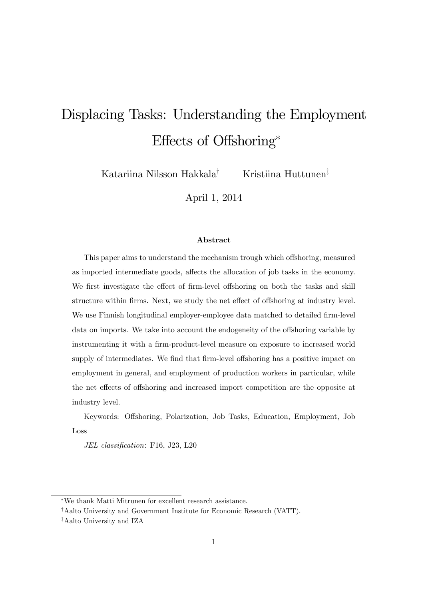# Displacing Tasks: Understanding the Employment Effects of Offshoring\*

Katariina Nilsson Hakkala<sup>†</sup> Kristiina Huttunen<sup>‡</sup>

April 1, 2014

#### Abstract

This paper aims to understand the mechanism trough which offshoring, measured as imported intermediate goods, affects the allocation of job tasks in the economy. We first investigate the effect of firm-level offshoring on both the tasks and skill structure within firms. Next, we study the net effect of offshoring at industry level. We use Finnish longitudinal employer-employee data matched to detailed firm-level data on imports. We take into account the endogeneity of the offshoring variable by instrumenting it with a firm-product-level measure on exposure to increased world supply of intermediates. We find that firm-level offshoring has a positive impact on employment in general, and employment of production workers in particular, while the net effects of offshoring and increased import competition are the opposite at industry level.

Keywords: Offshoring, Polarization, Job Tasks, Education, Employment, Job Loss

JEL classification: F16, J23, L20

We thank Matti Mitrunen for excellent research assistance.

<sup>&</sup>lt;sup>†</sup>Aalto University and Government Institute for Economic Research (VATT).

<sup>&</sup>lt;sup>‡</sup>Aalto University and IZA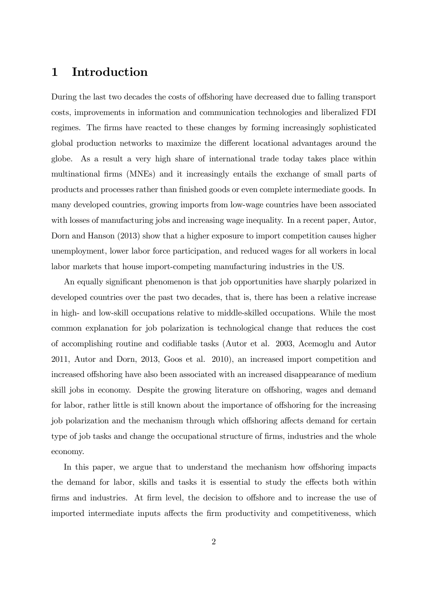# 1 Introduction

During the last two decades the costs of offshoring have decreased due to falling transport costs, improvements in information and communication technologies and liberalized FDI regimes. The firms have reacted to these changes by forming increasingly sophisticated global production networks to maximize the different locational advantages around the globe. As a result a very high share of international trade today takes place within multinational firms (MNEs) and it increasingly entails the exchange of small parts of products and processes rather than finished goods or even complete intermediate goods. In many developed countries, growing imports from low-wage countries have been associated with losses of manufacturing jobs and increasing wage inequality. In a recent paper, Autor, Dorn and Hanson (2013) show that a higher exposure to import competition causes higher unemployment, lower labor force participation, and reduced wages for all workers in local labor markets that house import-competing manufacturing industries in the US.

An equally significant phenomenon is that job opportunities have sharply polarized in developed countries over the past two decades, that is, there has been a relative increase in high- and low-skill occupations relative to middle-skilled occupations. While the most common explanation for job polarization is technological change that reduces the cost of accomplishing routine and codifiable tasks (Autor et al. 2003, Acemoglu and Autor 2011, Autor and Dorn, 2013, Goos et al. 2010), an increased import competition and increased offshoring have also been associated with an increased disappearance of medium skill jobs in economy. Despite the growing literature on offshoring, wages and demand for labor, rather little is still known about the importance of offshoring for the increasing job polarization and the mechanism through which offshoring affects demand for certain type of job tasks and change the occupational structure of firms, industries and the whole economy.

In this paper, we argue that to understand the mechanism how offshoring impacts the demand for labor, skills and tasks it is essential to study the effects both within firms and industries. At firm level, the decision to offshore and to increase the use of imported intermediate inputs affects the firm productivity and competitiveness, which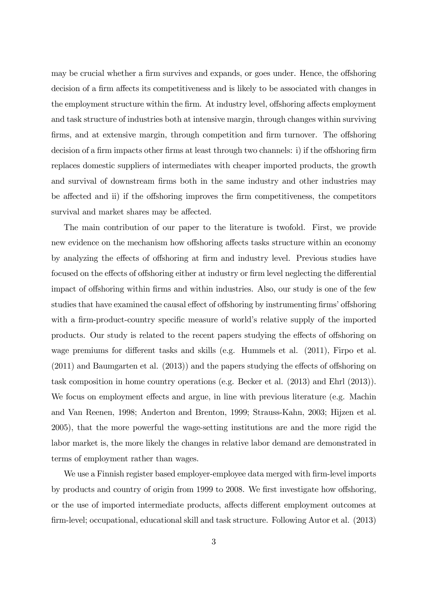may be crucial whether a firm survives and expands, or goes under. Hence, the offshoring decision of a firm affects its competitiveness and is likely to be associated with changes in the employment structure within the firm. At industry level, offshoring affects employment and task structure of industries both at intensive margin, through changes within surviving firms, and at extensive margin, through competition and firm turnover. The offshoring decision of a firm impacts other firms at least through two channels: i) if the offshoring firm replaces domestic suppliers of intermediates with cheaper imported products, the growth and survival of downstream firms both in the same industry and other industries may be affected and ii) if the offshoring improves the firm competitiveness, the competitors survival and market shares may be affected.

The main contribution of our paper to the literature is twofold. First, we provide new evidence on the mechanism how offshoring affects tasks structure within an economy by analyzing the effects of offshoring at firm and industry level. Previous studies have focused on the effects of offshoring either at industry or firm level neglecting the differential impact of offshoring within firms and within industries. Also, our study is one of the few studies that have examined the causal effect of offshoring by instrumenting firms' offshoring with a firm-product-country specific measure of world's relative supply of the imported products. Our study is related to the recent papers studying the effects of offshoring on wage premiums for different tasks and skills (e.g. Hummels et al.  $(2011)$ , Firpo et al.  $(2011)$  and Baumgarten et al.  $(2013)$  and the papers studying the effects of offshoring on task composition in home country operations (e.g. Becker et al. (2013) and Ehrl (2013)). We focus on employment effects and argue, in line with previous literature (e.g. Machin and Van Reenen, 1998; Anderton and Brenton, 1999; Strauss-Kahn, 2003; Hijzen et al. 2005), that the more powerful the wage-setting institutions are and the more rigid the labor market is, the more likely the changes in relative labor demand are demonstrated in terms of employment rather than wages.

We use a Finnish register based employer-employee data merged with firm-level imports by products and country of origin from 1999 to 2008. We first investigate how offshoring, or the use of imported intermediate products, affects different employment outcomes at firm-level; occupational, educational skill and task structure. Following Autor et al. (2013)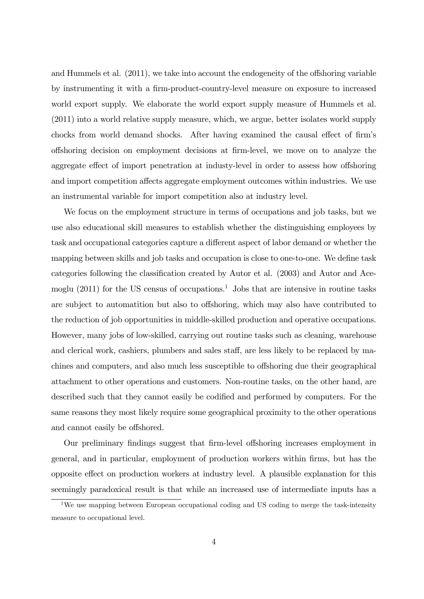and Hummels et al.  $(2011)$ , we take into account the endogeneity of the offshoring variable by instrumenting it with a firm-product-country-level measure on exposure to increased world export supply. We elaborate the world export supply measure of Hummels et al. (2011) into a world relative supply measure, which, we argue, better isolates world supply chocks from world demand shocks. After having examined the causal effect of firm's offshoring decision on employment decisions at firm-level, we move on to analyze the aggregate effect of import penetration at industy-level in order to assess how offshoring and import competition affects aggregate employment outcomes within industries. We use an instrumental variable for import competition also at industry level.

We focus on the employment structure in terms of occupations and job tasks, but we use also educational skill measures to establish whether the distinguishing employees by task and occupational categories capture a different aspect of labor demand or whether the mapping between skills and job tasks and occupation is close to one-to-one. We define task categories following the classification created by Autor et al. (2003) and Autor and Acemoglu (2011) for the US census of occupations.<sup>1</sup> Jobs that are intensive in routine tasks are subject to automatition but also to offshoring, which may also have contributed to the reduction of job opportunities in middle-skilled production and operative occupations. However, many jobs of low-skilled, carrying out routine tasks such as cleaning, warehouse and clerical work, cashiers, plumbers and sales staff, are less likely to be replaced by machines and computers, and also much less susceptible to offshoring due their geographical attachment to other operations and customers. Non-routine tasks, on the other hand, are described such that they cannot easily be codified and performed by computers. For the same reasons they most likely require some geographical proximity to the other operations and cannot easily be offshored.

Our preliminary findings suggest that firm-level offshoring increases employment in general, and in particular, employment of production workers within Örms, but has the opposite effect on production workers at industry level. A plausible explanation for this seemingly paradoxical result is that while an increased use of intermediate inputs has a

<sup>&</sup>lt;sup>1</sup>We use mapping between European occupational coding and US coding to merge the task-intensity measure to occupational level.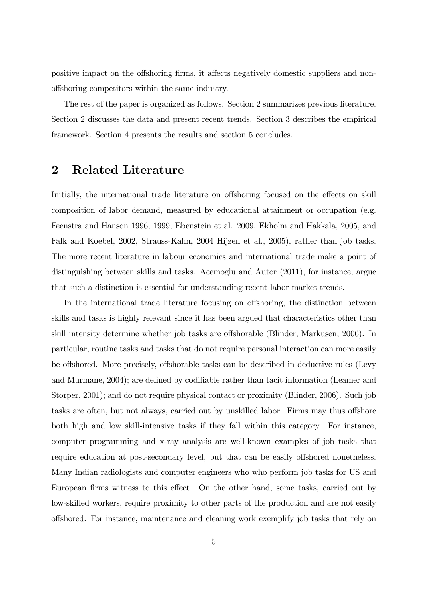positive impact on the offshoring firms, it affects negatively domestic suppliers and nono§shoring competitors within the same industry.

The rest of the paper is organized as follows. Section 2 summarizes previous literature. Section 2 discusses the data and present recent trends. Section 3 describes the empirical framework. Section 4 presents the results and section 5 concludes.

# 2 Related Literature

Initially, the international trade literature on offshoring focused on the effects on skill composition of labor demand, measured by educational attainment or occupation (e.g. Feenstra and Hanson 1996, 1999, Ebenstein et al. 2009, Ekholm and Hakkala, 2005, and Falk and Koebel, 2002, Strauss-Kahn, 2004 Hijzen et al., 2005), rather than job tasks. The more recent literature in labour economics and international trade make a point of distinguishing between skills and tasks. Acemoglu and Autor (2011), for instance, argue that such a distinction is essential for understanding recent labor market trends.

In the international trade literature focusing on offshoring, the distinction between skills and tasks is highly relevant since it has been argued that characteristics other than skill intensity determine whether job tasks are offshorable (Blinder, Markusen, 2006). In particular, routine tasks and tasks that do not require personal interaction can more easily be offshored. More precisely, offshorable tasks can be described in deductive rules (Levy and Murmane, 2004); are defined by codifiable rather than tacit information (Leamer and Storper, 2001); and do not require physical contact or proximity (Blinder, 2006). Such job tasks are often, but not always, carried out by unskilled labor. Firms may thus offshore both high and low skill-intensive tasks if they fall within this category. For instance, computer programming and x-ray analysis are well-known examples of job tasks that require education at post-secondary level, but that can be easily offshored nonetheless. Many Indian radiologists and computer engineers who who perform job tasks for US and European firms witness to this effect. On the other hand, some tasks, carried out by low-skilled workers, require proximity to other parts of the production and are not easily o§shored. For instance, maintenance and cleaning work exemplify job tasks that rely on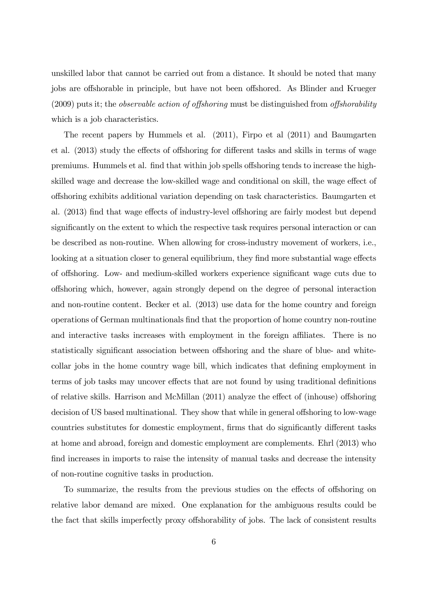unskilled labor that cannot be carried out from a distance. It should be noted that many jobs are offshorable in principle, but have not been offshored. As Blinder and Krueger  $(2009)$  puts it; the *observable action of offshoring* must be distinguished from *offshorability* which is a job characteristics.

The recent papers by Hummels et al. (2011), Firpo et al (2011) and Baumgarten et al. (2013) study the effects of offshoring for different tasks and skills in terms of wage premiums. Hummels et al. find that within job spells offshoring tends to increase the highskilled wage and decrease the low-skilled wage and conditional on skill, the wage effect of o§shoring exhibits additional variation depending on task characteristics. Baumgarten et al. (2013) find that wage effects of industry-level offshoring are fairly modest but depend significantly on the extent to which the respective task requires personal interaction or can be described as non-routine. When allowing for cross-industry movement of workers, i.e., looking at a situation closer to general equilibrium, they find more substantial wage effects of offshoring. Low- and medium-skilled workers experience significant wage cuts due to o§shoring which, however, again strongly depend on the degree of personal interaction and non-routine content. Becker et al. (2013) use data for the home country and foreign operations of German multinationals Önd that the proportion of home country non-routine and interactive tasks increases with employment in the foreign affiliates. There is no statistically significant association between offshoring and the share of blue- and whitecollar jobs in the home country wage bill, which indicates that defining employment in terms of job tasks may uncover effects that are not found by using traditional definitions of relative skills. Harrison and McMillan  $(2011)$  analyze the effect of (inhouse) offshoring decision of US based multinational. They show that while in general offshoring to low-wage countries substitutes for domestic employment, firms that do significantly different tasks at home and abroad, foreign and domestic employment are complements. Ehrl (2013) who find increases in imports to raise the intensity of manual tasks and decrease the intensity of non-routine cognitive tasks in production.

To summarize, the results from the previous studies on the effects of offshoring on relative labor demand are mixed. One explanation for the ambiguous results could be the fact that skills imperfectly proxy offshorability of jobs. The lack of consistent results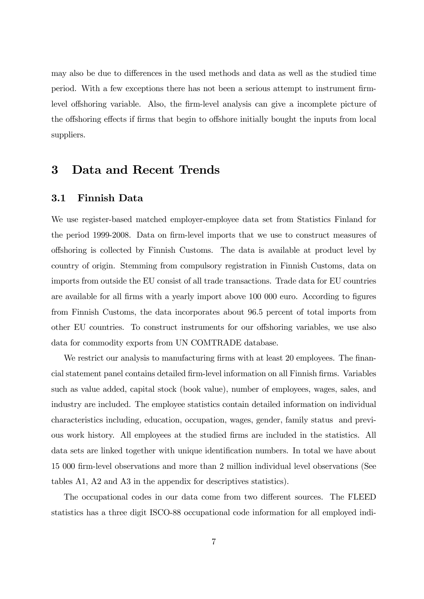may also be due to differences in the used methods and data as well as the studied time period. With a few exceptions there has not been a serious attempt to instrument firmlevel offshoring variable. Also, the firm-level analysis can give a incomplete picture of the offshoring effects if firms that begin to offshore initially bought the inputs from local suppliers.

# 3 Data and Recent Trends

# 3.1 Finnish Data

We use register-based matched employer-employee data set from Statistics Finland for the period 1999-2008. Data on firm-level imports that we use to construct measures of o§shoring is collected by Finnish Customs. The data is available at product level by country of origin. Stemming from compulsory registration in Finnish Customs, data on imports from outside the EU consist of all trade transactions. Trade data for EU countries are available for all firms with a yearly import above 100 000 euro. According to figures from Finnish Customs, the data incorporates about 96.5 percent of total imports from other EU countries. To construct instruments for our offshoring variables, we use also data for commodity exports from UN COMTRADE database.

We restrict our analysis to manufacturing firms with at least 20 employees. The financial statement panel contains detailed Örm-level information on all Finnish Örms. Variables such as value added, capital stock (book value), number of employees, wages, sales, and industry are included. The employee statistics contain detailed information on individual characteristics including, education, occupation, wages, gender, family status and previous work history. All employees at the studied Örms are included in the statistics. All data sets are linked together with unique identification numbers. In total we have about 15 000 Örm-level observations and more than 2 million individual level observations (See tables A1, A2 and A3 in the appendix for descriptives statistics).

The occupational codes in our data come from two different sources. The FLEED statistics has a three digit ISCO-88 occupational code information for all employed indi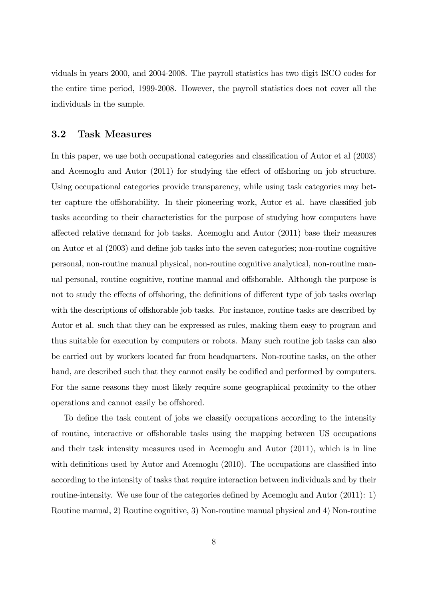viduals in years 2000, and 2004-2008. The payroll statistics has two digit ISCO codes for the entire time period, 1999-2008. However, the payroll statistics does not cover all the individuals in the sample.

## 3.2 Task Measures

In this paper, we use both occupational categories and classification of Autor et al  $(2003)$ and Acemoglu and Autor  $(2011)$  for studying the effect of offshoring on job structure. Using occupational categories provide transparency, while using task categories may better capture the offshorability. In their pioneering work, Autor et al. have classified job tasks according to their characteristics for the purpose of studying how computers have a§ected relative demand for job tasks. Acemoglu and Autor (2011) base their measures on Autor et al (2003) and define job tasks into the seven categories; non-routine cognitive personal, non-routine manual physical, non-routine cognitive analytical, non-routine manual personal, routine cognitive, routine manual and offshorable. Although the purpose is not to study the effects of offshoring, the definitions of different type of job tasks overlap with the descriptions of offshorable job tasks. For instance, routine tasks are described by Autor et al. such that they can be expressed as rules, making them easy to program and thus suitable for execution by computers or robots. Many such routine job tasks can also be carried out by workers located far from headquarters. Non-routine tasks, on the other hand, are described such that they cannot easily be codified and performed by computers. For the same reasons they most likely require some geographical proximity to the other operations and cannot easily be offshored.

To define the task content of jobs we classify occupations according to the intensity of routine, interactive or offshorable tasks using the mapping between US occupations and their task intensity measures used in Acemoglu and Autor (2011), which is in line with definitions used by Autor and Acemoglu  $(2010)$ . The occupations are classified into according to the intensity of tasks that require interaction between individuals and by their routine-intensity. We use four of the categories defined by Acemoglu and Autor  $(2011): 1$ Routine manual, 2) Routine cognitive, 3) Non-routine manual physical and 4) Non-routine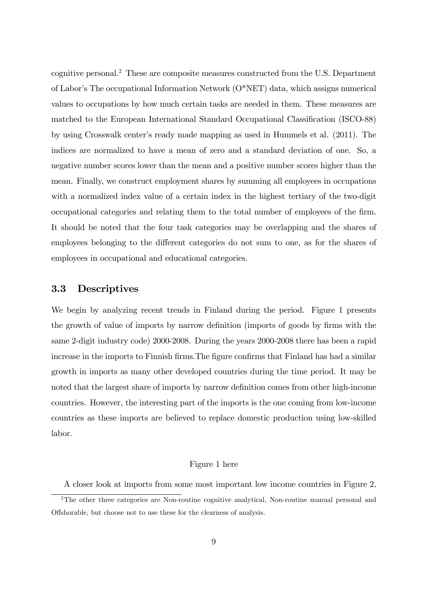cognitive personal.<sup>2</sup> These are composite measures constructed from the U.S. Department of Labor's The occupational Information Network  $(O^*NET)$  data, which assigns numerical values to occupations by how much certain tasks are needed in them. These measures are matched to the European International Standard Occupational Classification (ISCO-88) by using Crosswalk center's ready made mapping as used in Hummels et al.  $(2011)$ . The indices are normalized to have a mean of zero and a standard deviation of one. So, a negative number scores lower than the mean and a positive number scores higher than the mean. Finally, we construct employment shares by summing all employees in occupations with a normalized index value of a certain index in the highest tertiary of the two-digit occupational categories and relating them to the total number of employees of the Örm. It should be noted that the four task categories may be overlapping and the shares of employees belonging to the different categories do not sum to one, as for the shares of employees in occupational and educational categories.

# 3.3 Descriptives

We begin by analyzing recent trends in Finland during the period. Figure 1 presents the growth of value of imports by narrow definition (imports of goods by firms with the same 2-digit industry code) 2000-2008. During the years 2000-2008 there has been a rapid increase in the imports to Finnish firms. The figure confirms that Finland has had a similar growth in imports as many other developed countries during the time period. It may be noted that the largest share of imports by narrow definition comes from other high-income countries. However, the interesting part of the imports is the one coming from low-income countries as these imports are believed to replace domestic production using low-skilled labor.

#### Figure 1 here

A closer look at imports from some most important low income countries in Figure 2,

<sup>&</sup>lt;sup>2</sup>The other three categories are Non-routine cognitive analytical, Non-routine manual personal and Offshorable, but choose not to use these for the clearness of analysis.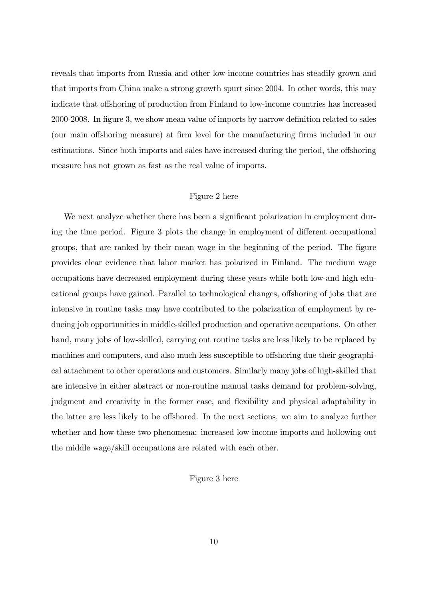reveals that imports from Russia and other low-income countries has steadily grown and that imports from China make a strong growth spurt since 2004. In other words, this may indicate that offshoring of production from Finland to low-income countries has increased 2000-2008. In figure 3, we show mean value of imports by narrow definition related to sales (our main offshoring measure) at firm level for the manufacturing firms included in our estimations. Since both imports and sales have increased during the period, the offshoring measure has not grown as fast as the real value of imports.

#### Figure 2 here

We next analyze whether there has been a significant polarization in employment during the time period. Figure 3 plots the change in employment of different occupational groups, that are ranked by their mean wage in the beginning of the period. The figure provides clear evidence that labor market has polarized in Finland. The medium wage occupations have decreased employment during these years while both low-and high educational groups have gained. Parallel to technological changes, offshoring of jobs that are intensive in routine tasks may have contributed to the polarization of employment by reducing job opportunities in middle-skilled production and operative occupations. On other hand, many jobs of low-skilled, carrying out routine tasks are less likely to be replaced by machines and computers, and also much less susceptible to offshoring due their geographical attachment to other operations and customers. Similarly many jobs of high-skilled that are intensive in either abstract or non-routine manual tasks demand for problem-solving, judgment and creativity in the former case, and flexibility and physical adaptability in the latter are less likely to be offshored. In the next sections, we aim to analyze further whether and how these two phenomena: increased low-income imports and hollowing out the middle wage/skill occupations are related with each other.

### Figure 3 here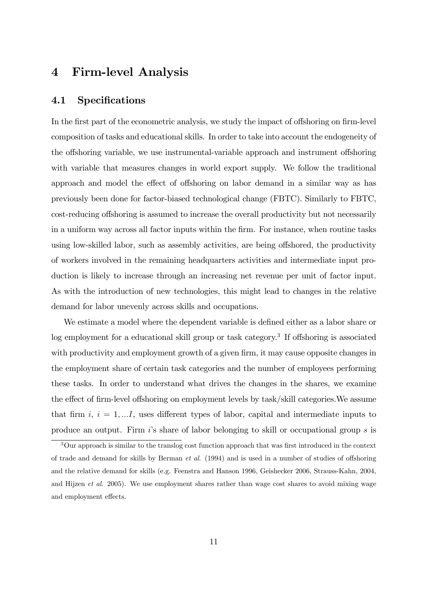# 4 Firm-level Analysis

## 4.1 Specifications

In the first part of the econometric analysis, we study the impact of offshoring on firm-level composition of tasks and educational skills. In order to take into account the endogeneity of the offshoring variable, we use instrumental-variable approach and instrument offshoring with variable that measures changes in world export supply. We follow the traditional approach and model the effect of offshoring on labor demand in a similar way as has previously been done for factor-biased technological change (FBTC). Similarly to FBTC, cost-reducing offshoring is assumed to increase the overall productivity but not necessarily in a uniform way across all factor inputs within the firm. For instance, when routine tasks using low-skilled labor, such as assembly activities, are being offshored, the productivity of workers involved in the remaining headquarters activities and intermediate input production is likely to increase through an increasing net revenue per unit of factor input. As with the introduction of new technologies, this might lead to changes in the relative demand for labor unevenly across skills and occupations.

We estimate a model where the dependent variable is defined either as a labor share or log employment for a educational skill group or task category.<sup>3</sup> If offshoring is associated with productivity and employment growth of a given firm, it may cause opposite changes in the employment share of certain task categories and the number of employees performing these tasks. In order to understand what drives the changes in the shares, we examine the effect of firm-level offshoring on employment levels by task/skill categories. We assume that firm  $i, i = 1, \ldots I$ , uses different types of labor, capital and intermediate inputs to produce an output. Firm  $i$ 's share of labor belonging to skill or occupational group  $s$  is

 $3$ Our approach is similar to the translog cost function approach that was first introduced in the context of trade and demand for skills by Berman  $et \ al.$  (1994) and is used in a number of studies of offshoring and the relative demand for skills (e.g. Feenstra and Hanson 1996, Geishecker 2006, Strauss-Kahn, 2004, and Hijzen et al. 2005). We use employment shares rather than wage cost shares to avoid mixing wage and employment effects.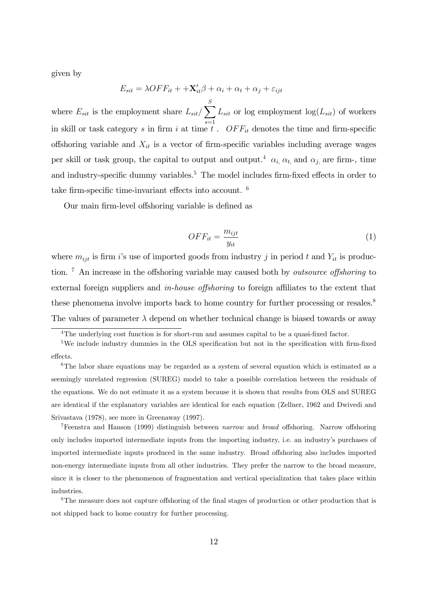given by

$$
E_{sit} = \lambda OFF_{it} + \mathbf{X}'_{it}\beta + \alpha_i + \alpha_t + \alpha_j + \varepsilon_{ijt}
$$

where  $E_{sit}$  is the employment share  $L_{sit}/\sum_{i=1}^{S}$  $s=1$  $L_{sit}$  or log employment  $log(L_{sit})$  of workers in skill or task category s in firm i at time t.  $OFF_{it}$  denotes the time and firm-specific offshoring variable and  $X_{it}$  is a vector of firm-specific variables including average wages per skill or task group, the capital to output and output.<sup>4</sup>  $\alpha_i$ ,  $\alpha_t$ , and  $\alpha_j$ , are firm-, time and industry-specific dummy variables.<sup>5</sup> The model includes firm-fixed effects in order to take firm-specific time-invariant effects into account.  $6$ 

Our main firm-level offshoring variable is defined as

$$
OFF_{it} = \frac{m_{ijt}}{y_{it}}\tag{1}
$$

where  $m_{ijt}$  is firm is use of imported goods from industry j in period t and  $Y_{it}$  is production.  $\frac{7}{1}$  An increase in the offshoring variable may caused both by *outsource offshoring* to external foreign suppliers and *in-house offshoring* to foreign affiliates to the extent that these phenomena involve imports back to home country for further processing or resales.<sup>8</sup> The values of parameter  $\lambda$  depend on whether technical change is biased towards or away

<sup>&</sup>lt;sup>4</sup>The underlying cost function is for short-run and assumes capital to be a quasi-fixed factor.

 $5$ We include industry dummies in the OLS specification but not in the specification with firm-fixed effects.

 $6$ The labor share equations may be regarded as a system of several equation which is estimated as a seemingly unrelated regression (SUREG) model to take a possible correlation between the residuals of the equations. We do not estimate it as a system because it is shown that results from OLS and SUREG are identical if the explanatory variables are identical for each equation (Zellner, 1962 and Dwivedi and Srivastava (1978), see more in Greenaway (1997).

<sup>&</sup>lt;sup>7</sup>Feenstra and Hanson (1999) distinguish between *narrow* and *broad* offshoring. Narrow offshoring only includes imported intermediate inputs from the importing industry, i.e. an industryís purchases of imported intermediate inputs produced in the same industry. Broad offshoring also includes imported non-energy intermediate inputs from all other industries. They prefer the narrow to the broad measure, since it is closer to the phenomenon of fragmentation and vertical specialization that takes place within industries.

<sup>&</sup>lt;sup>8</sup>The measure does not capture offshoring of the final stages of production or other production that is not shipped back to home country for further processing.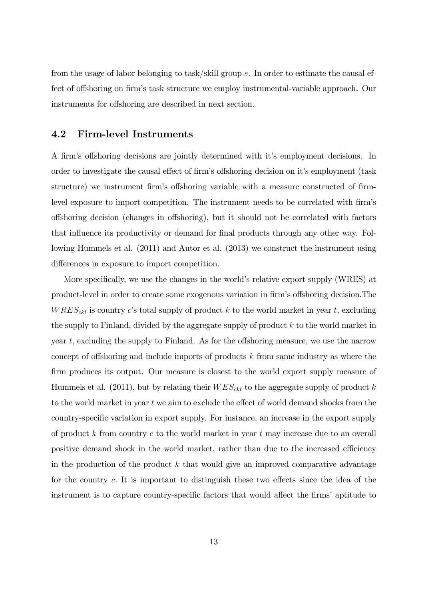from the usage of labor belonging to task/skill group s. In order to estimate the causal effect of offshoring on firm's task structure we employ instrumental-variable approach. Our instruments for offshoring are described in next section.

## 4.2 Firm-level Instruments

A firm's offshoring decisions are jointly determined with it's employment decisions. In order to investigate the causal effect of firm's offshoring decision on it's employment (task structure) we instrument firm's offshoring variable with a measure constructed of firmlevel exposure to import competition. The instrument needs to be correlated with firm's offshoring decision (changes in offshoring), but it should not be correlated with factors that influence its productivity or demand for final products through any other way. Following Hummels et al. (2011) and Autor et al. (2013) we construct the instrument using differences in exposure to import competition.

More specifically, we use the changes in the world's relative export supply (WRES) at product-level in order to create some exogenous variation in firm's offshoring decision. The  $WRES_{\text{ckt}}$  is country c's total supply of product k to the world market in year t, excluding the supply to Finland, divided by the aggregate supply of product k to the world market in year t, excluding the supply to Finland. As for the offshoring measure, we use the narrow concept of offshoring and include imports of products  $k$  from same industry as where the firm produces its output. Our measure is closest to the world export supply measure of Hummels et al. (2011), but by relating their  $WES_{ckt}$  to the aggregate supply of product k to the world market in year  $t$  we aim to exclude the effect of world demand shocks from the country-speciÖc variation in export supply. For instance, an increase in the export supply of product  $k$  from country  $c$  to the world market in year  $t$  may increase due to an overall positive demand shock in the world market, rather than due to the increased efficiency in the production of the product  $k$  that would give an improved comparative advantage for the country  $c$ . It is important to distinguish these two effects since the idea of the instrument is to capture country-specific factors that would affect the firms' aptitude to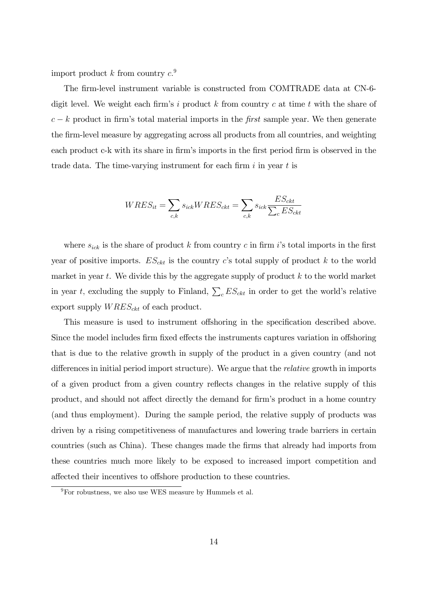import product k from country  $c^{9}$ .

The firm-level instrument variable is constructed from COMTRADE data at CN-6digit level. We weight each firm's i product k from country c at time t with the share of  $c - k$  product in firm's total material imports in the first sample year. We then generate the firm-level measure by aggregating across all products from all countries, and weighting each product c-k with its share in firm's imports in the first period firm is observed in the trade data. The time-varying instrument for each firm  $i$  in year  $t$  is

$$
WRES_{it} = \sum_{c,k} s_{ick} WRES_{ckt} = \sum_{c,k} s_{ick} \frac{ES_{ckt}}{\sum_{c} ES_{ckt}}
$$

where  $s_{ick}$  is the share of product k from country c in firm i's total imports in the first year of positive imports.  $ES_{ckt}$  is the country c's total supply of product k to the world market in year t. We divide this by the aggregate supply of product  $k$  to the world market in year t, excluding the supply to Finland,  $\sum_{c} ES_{ckt}$  in order to get the world's relative export supply  $WRES_{\text{ckt}}$  of each product.

This measure is used to instrument offshoring in the specification described above. Since the model includes firm fixed effects the instruments captures variation in offshoring that is due to the relative growth in supply of the product in a given country (and not differences in initial period import structure). We argue that the *relative* growth in imports of a given product from a given country reflects changes in the relative supply of this product, and should not affect directly the demand for firm's product in a home country (and thus employment). During the sample period, the relative supply of products was driven by a rising competitiveness of manufactures and lowering trade barriers in certain countries (such as China). These changes made the Örms that already had imports from these countries much more likely to be exposed to increased import competition and affected their incentives to offshore production to these countries.

 $9^9$ For robustness, we also use WES measure by Hummels et al.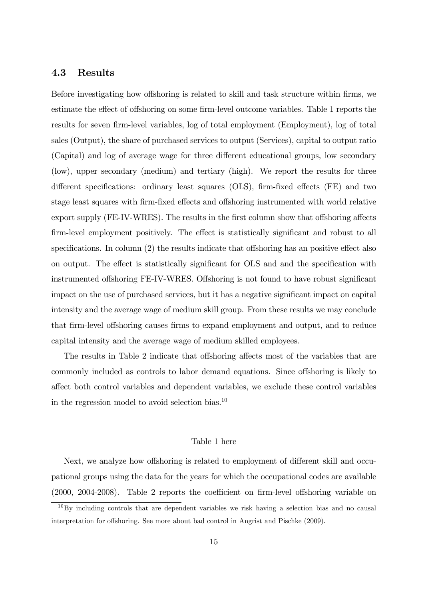### 4.3 Results

Before investigating how offshoring is related to skill and task structure within firms, we estimate the effect of offshoring on some firm-level outcome variables. Table 1 reports the results for seven firm-level variables, log of total employment (Employment), log of total sales (Output), the share of purchased services to output (Services), capital to output ratio (Capital) and log of average wage for three different educational groups, low secondary (low), upper secondary (medium) and tertiary (high). We report the results for three different specifications: ordinary least squares (OLS), firm-fixed effects (FE) and two stage least squares with firm-fixed effects and offshoring instrumented with world relative export supply (FE-IV-WRES). The results in the first column show that offshoring affects firm-level employment positively. The effect is statistically significant and robust to all specifications. In column  $(2)$  the results indicate that offshoring has an positive effect also on output. The effect is statistically significant for OLS and and the specification with instrumented offshoring FE-IV-WRES. Offshoring is not found to have robust significant impact on the use of purchased services, but it has a negative significant impact on capital intensity and the average wage of medium skill group. From these results we may conclude that firm-level offshoring causes firms to expand employment and output, and to reduce capital intensity and the average wage of medium skilled employees.

The results in Table 2 indicate that offshoring affects most of the variables that are commonly included as controls to labor demand equations. Since offshoring is likely to a§ect both control variables and dependent variables, we exclude these control variables in the regression model to avoid selection bias. $^{10}$ 

#### Table 1 here

Next, we analyze how offshoring is related to employment of different skill and occupational groups using the data for the years for which the occupational codes are available  $(2000, 2004-2008)$ . Table 2 reports the coefficient on firm-level offshoring variable on

 $10$ By including controls that are dependent variables we risk having a selection bias and no causal interpretation for offshoring. See more about bad control in Angrist and Pischke (2009).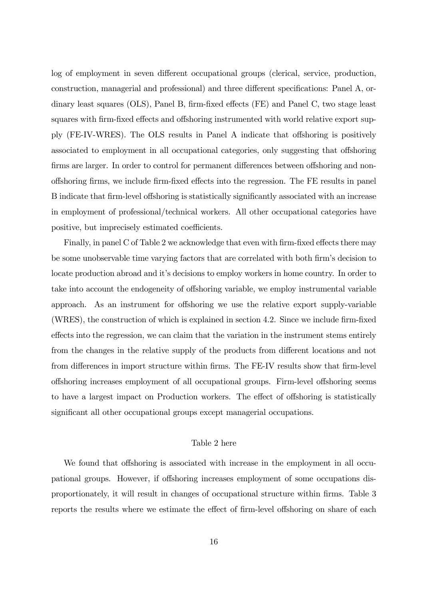log of employment in seven different occupational groups (clerical, service, production, construction, managerial and professional) and three different specifications: Panel A, ordinary least squares (OLS), Panel B, firm-fixed effects (FE) and Panel C, two stage least squares with firm-fixed effects and offshoring instrumented with world relative export supply (FE-IV-WRES). The OLS results in Panel A indicate that offshoring is positively associated to employment in all occupational categories, only suggesting that offshoring firms are larger. In order to control for permanent differences between offshoring and nonoffshoring firms, we include firm-fixed effects into the regression. The FE results in panel B indicate that firm-level offshoring is statistically significantly associated with an increase in employment of professional/technical workers. All other occupational categories have positive, but imprecisely estimated coefficients.

Finally, in panel C of Table 2 we acknowledge that even with firm-fixed effects there may be some unobservable time varying factors that are correlated with both firm's decision to locate production abroad and it's decisions to employ workers in home country. In order to take into account the endogeneity of offshoring variable, we employ instrumental variable approach. As an instrument for offshoring we use the relative export supply-variable  $(WRES)$ , the construction of which is explained in section 4.2. Since we include firm-fixed effects into the regression, we can claim that the variation in the instrument stems entirely from the changes in the relative supply of the products from different locations and not from differences in import structure within firms. The FE-IV results show that firm-level offshoring increases employment of all occupational groups. Firm-level offshoring seems to have a largest impact on Production workers. The effect of offshoring is statistically significant all other occupational groups except managerial occupations.

#### Table 2 here

We found that offshoring is associated with increase in the employment in all occupational groups. However, if offshoring increases employment of some occupations disproportionately, it will result in changes of occupational structure within firms. Table 3 reports the results where we estimate the effect of firm-level offshoring on share of each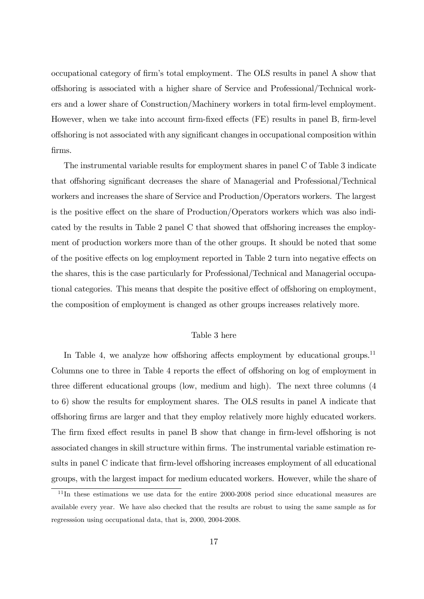occupational category of firm's total employment. The OLS results in panel A show that offshoring is associated with a higher share of Service and Professional/Technical workers and a lower share of Construction/Machinery workers in total firm-level employment. However, when we take into account firm-fixed effects (FE) results in panel B, firm-level offshoring is not associated with any significant changes in occupational composition within Örms.

The instrumental variable results for employment shares in panel C of Table 3 indicate that offshoring significant decreases the share of Managerial and Professional/Technical workers and increases the share of Service and Production/Operators workers. The largest is the positive effect on the share of Production/Operators workers which was also indicated by the results in Table 2 panel C that showed that offshoring increases the employment of production workers more than of the other groups. It should be noted that some of the positive effects on log employment reported in Table 2 turn into negative effects on the shares, this is the case particularly for Professional/Technical and Managerial occupational categories. This means that despite the positive effect of offshoring on employment, the composition of employment is changed as other groups increases relatively more.

#### Table 3 here

In Table 4, we analyze how offshoring affects employment by educational groups.<sup>11</sup> Columns one to three in Table 4 reports the effect of offshoring on log of employment in three different educational groups (low, medium and high). The next three columns  $(4)$ to 6) show the results for employment shares. The OLS results in panel A indicate that o§shoring Örms are larger and that they employ relatively more highly educated workers. The firm fixed effect results in panel B show that change in firm-level offshoring is not associated changes in skill structure within Örms. The instrumental variable estimation results in panel C indicate that firm-level offshoring increases employment of all educational groups, with the largest impact for medium educated workers. However, while the share of

 $11$ In these estimations we use data for the entire 2000-2008 period since educational measures are available every year. We have also checked that the results are robust to using the same sample as for regresssion using occupational data, that is, 2000, 2004-2008.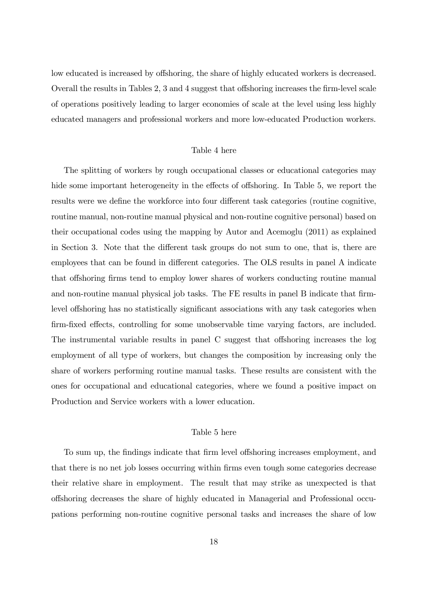low educated is increased by offshoring, the share of highly educated workers is decreased. Overall the results in Tables  $2, 3$  and  $4$  suggest that offshoring increases the firm-level scale of operations positively leading to larger economies of scale at the level using less highly educated managers and professional workers and more low-educated Production workers.

#### Table 4 here

The splitting of workers by rough occupational classes or educational categories may hide some important heterogeneity in the effects of offshoring. In Table 5, we report the results were we define the workforce into four different task categories (routine cognitive, routine manual, non-routine manual physical and non-routine cognitive personal) based on their occupational codes using the mapping by Autor and Acemoglu (2011) as explained in Section 3. Note that the different task groups do not sum to one, that is, there are employees that can be found in different categories. The OLS results in panel A indicate that offshoring firms tend to employ lower shares of workers conducting routine manual and non-routine manual physical job tasks. The FE results in panel B indicate that firmlevel offshoring has no statistically significant associations with any task categories when firm-fixed effects, controlling for some unobservable time varying factors, are included. The instrumental variable results in panel C suggest that offshoring increases the log employment of all type of workers, but changes the composition by increasing only the share of workers performing routine manual tasks. These results are consistent with the ones for occupational and educational categories, where we found a positive impact on Production and Service workers with a lower education.

#### Table 5 here

To sum up, the findings indicate that firm level offshoring increases employment, and that there is no net job losses occurring within Örms even tough some categories decrease their relative share in employment. The result that may strike as unexpected is that o§shoring decreases the share of highly educated in Managerial and Professional occupations performing non-routine cognitive personal tasks and increases the share of low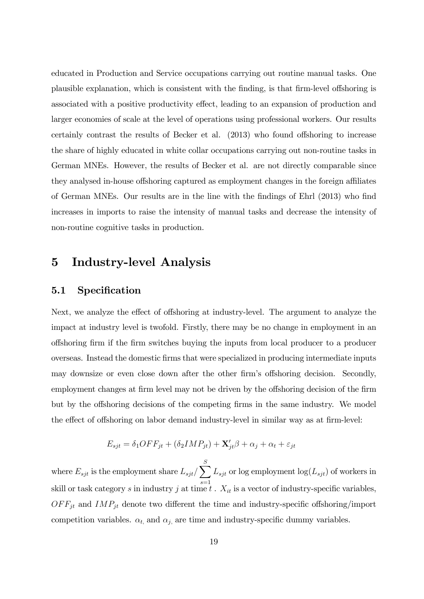educated in Production and Service occupations carrying out routine manual tasks. One plausible explanation, which is consistent with the finding, is that firm-level offshoring is associated with a positive productivity effect, leading to an expansion of production and larger economies of scale at the level of operations using professional workers. Our results certainly contrast the results of Becker et al.  $(2013)$  who found offshoring to increase the share of highly educated in white collar occupations carrying out non-routine tasks in German MNEs. However, the results of Becker et al. are not directly comparable since they analysed in-house offshoring captured as employment changes in the foreign affiliates of German MNEs. Our results are in the line with the findings of Ehrl (2013) who find increases in imports to raise the intensity of manual tasks and decrease the intensity of non-routine cognitive tasks in production.

# 5 Industry-level Analysis

# 5.1 Specification

Next, we analyze the effect of offshoring at industry-level. The argument to analyze the impact at industry level is twofold. Firstly, there may be no change in employment in an o§shoring Örm if the Örm switches buying the inputs from local producer to a producer overseas. Instead the domestic Örms that were specialized in producing intermediate inputs may downsize or even close down after the other firm's offshoring decision. Secondly, employment changes at firm level may not be driven by the offshoring decision of the firm but by the offshoring decisions of the competing firms in the same industry. We model the effect of offshoring on labor demand industry-level in similar way as at firm-level:

$$
E_{sjt} = \delta_1 OFF_{jt} + (\delta_2 IMP_{jt}) + \mathbf{X}'_{jt}\beta + \alpha_j + \alpha_t + \varepsilon_{jt}
$$

where  $E_{sjt}$  is the employment share  $L_{sjt}/\sum_{i=1}^{S}$  $s=1$  $L_{sjt}$  or log employment  $log(L_{sjt})$  of workers in skill or task category s in industry j at time t.  $X_{it}$  is a vector of industry-specific variables,  $OFF_{jt}$  and  $IMP_{jt}$  denote two different the time and industry-specific offshoring/import competition variables.  $\alpha_{t}$ , and  $\alpha_{j}$ , are time and industry-specific dummy variables.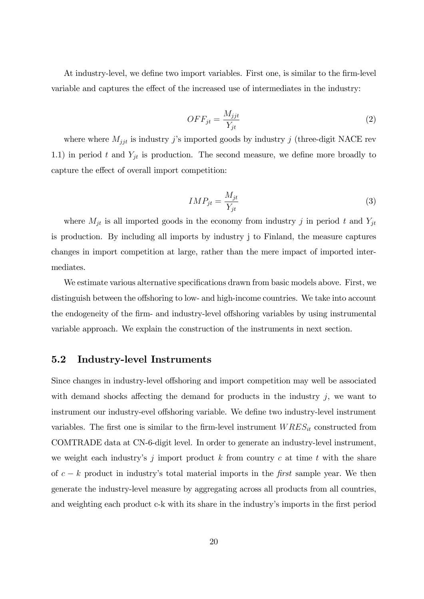At industry-level, we define two import variables. First one, is similar to the firm-level variable and captures the effect of the increased use of intermediates in the industry:

$$
OFF_{jt} = \frac{M_{jjt}}{Y_{jt}}\tag{2}
$$

where where  $M_{jjt}$  is industry j's imported goods by industry j (three-digit NACE rev 1.1) in period t and  $Y_{jt}$  is production. The second measure, we define more broadly to capture the effect of overall import competition:

$$
IMP_{jt} = \frac{M_{jt}}{Y_{jt}}\tag{3}
$$

where  $M_{jt}$  is all imported goods in the economy from industry j in period t and  $Y_{jt}$ is production. By including all imports by industry j to Finland, the measure captures changes in import competition at large, rather than the mere impact of imported intermediates.

We estimate various alternative specifications drawn from basic models above. First, we distinguish between the offshoring to low- and high-income countries. We take into account the endogeneity of the firm- and industry-level offshoring variables by using instrumental variable approach. We explain the construction of the instruments in next section.

### 5.2 Industry-level Instruments

Since changes in industry-level offshoring and import competition may well be associated with demand shocks affecting the demand for products in the industry  $j$ , we want to instrument our industry-evel offshoring variable. We define two industry-level instrument variables. The first one is similar to the firm-level instrument  $WRES_{it}$  constructed from COMTRADE data at CN-6-digit level. In order to generate an industry-level instrument, we weight each industry's j import product  $k$  from country  $c$  at time  $t$  with the share of  $c - k$  product in industry's total material imports in the first sample year. We then generate the industry-level measure by aggregating across all products from all countries, and weighting each product c-k with its share in the industry's imports in the first period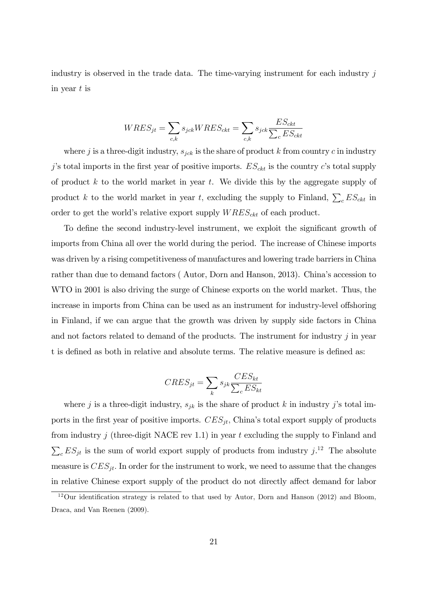industry is observed in the trade data. The time-varying instrument for each industry  $j$ in year  $t$  is

$$
WRES_{jt} = \sum_{c,k} s_{jck}WRES_{ckt} = \sum_{c,k} s_{jck} \frac{ES_{ckt}}{\sum_{c} ES_{ckt}}
$$

where j is a three-digit industry,  $s_{jck}$  is the share of product k from country c in industry j's total imports in the first year of positive imports.  $ES_{ckt}$  is the country c's total supply of product  $k$  to the world market in year  $t$ . We divide this by the aggregate supply of product k to the world market in year t, excluding the supply to Finland,  $\sum_{c} ES_{ckt}$  in order to get the world's relative export supply  $WRES_{\text{ckt}}$  of each product.

To define the second industry-level instrument, we exploit the significant growth of imports from China all over the world during the period. The increase of Chinese imports was driven by a rising competitiveness of manufactures and lowering trade barriers in China rather than due to demand factors (Autor, Dorn and Hanson, 2013). China's accession to WTO in 2001 is also driving the surge of Chinese exports on the world market. Thus, the increase in imports from China can be used as an instrument for industry-level offshoring in Finland, if we can argue that the growth was driven by supply side factors in China and not factors related to demand of the products. The instrument for industry  $j$  in year t is defined as both in relative and absolute terms. The relative measure is defined as:

$$
CRES_{jt} = \sum_{k} s_{jk} \frac{CES_{kt}}{\sum_{c} ES_{kt}}
$$

where j is a three-digit industry,  $s_{jk}$  is the share of product k in industry j's total imports in the first year of positive imports.  $CES_{jt}$ , China's total export supply of products from industry j (three-digit NACE rev 1.1) in year t excluding the supply to Finland and  $\sum_{c} ES_{jt}$  is the sum of world export supply of products from industry j.<sup>12</sup> The absolute measure is  $CES_{jt}$ . In order for the instrument to work, we need to assume that the changes in relative Chinese export supply of the product do not directly affect demand for labor

 $12$ Our identification strategy is related to that used by Autor, Dorn and Hanson (2012) and Bloom, Draca, and Van Reenen (2009).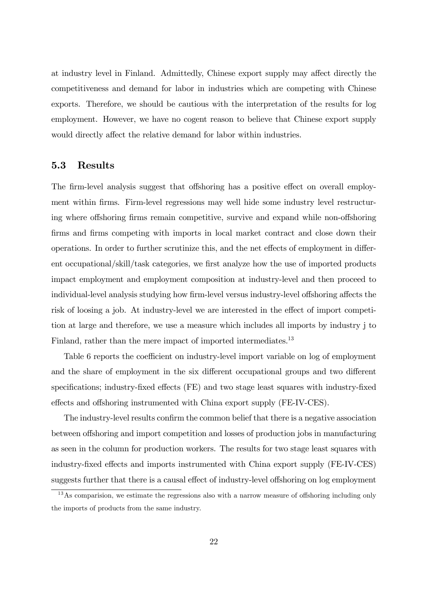at industry level in Finland. Admittedly, Chinese export supply may affect directly the competitiveness and demand for labor in industries which are competing with Chinese exports. Therefore, we should be cautious with the interpretation of the results for log employment. However, we have no cogent reason to believe that Chinese export supply would directly affect the relative demand for labor within industries.

### 5.3 Results

The firm-level analysis suggest that offshoring has a positive effect on overall employment within firms. Firm-level regressions may well hide some industry level restructuring where offshoring firms remain competitive, survive and expand while non-offshoring firms and firms competing with imports in local market contract and close down their operations. In order to further scrutinize this, and the net effects of employment in different occupational/skill/task categories, we first analyze how the use of imported products impact employment and employment composition at industry-level and then proceed to individual-level analysis studying how firm-level versus industry-level offshoring affects the risk of loosing a job. At industry-level we are interested in the effect of import competition at large and therefore, we use a measure which includes all imports by industry j to Finland, rather than the mere impact of imported intermediates.<sup>13</sup>

Table 6 reports the coefficient on industry-level import variable on log of employment and the share of employment in the six different occupational groups and two different specifications; industry-fixed effects (FE) and two stage least squares with industry-fixed effects and offshoring instrumented with China export supply (FE-IV-CES).

The industry-level results confirm the common belief that there is a negative association between offshoring and import competition and losses of production jobs in manufacturing as seen in the column for production workers. The results for two stage least squares with industry-fixed effects and imports instrumented with China export supply (FE-IV-CES) suggests further that there is a causal effect of industry-level offshoring on log employment

 $13\,\text{As}$  comparision, we estimate the regressions also with a narrow measure of offshoring including only the imports of products from the same industry.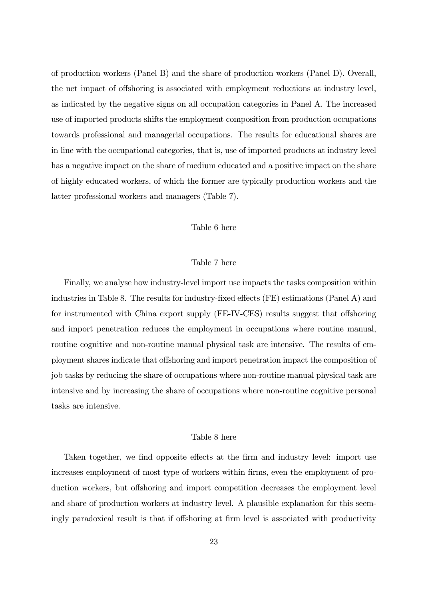of production workers (Panel B) and the share of production workers (Panel D). Overall, the net impact of offshoring is associated with employment reductions at industry level, as indicated by the negative signs on all occupation categories in Panel A. The increased use of imported products shifts the employment composition from production occupations towards professional and managerial occupations. The results for educational shares are in line with the occupational categories, that is, use of imported products at industry level has a negative impact on the share of medium educated and a positive impact on the share of highly educated workers, of which the former are typically production workers and the latter professional workers and managers (Table 7).

#### Table 6 here

#### Table 7 here

Finally, we analyse how industry-level import use impacts the tasks composition within industries in Table 8. The results for industry-fixed effects  $(FE)$  estimations (Panel A) and for instrumented with China export supply (FE-IV-CES) results suggest that offshoring and import penetration reduces the employment in occupations where routine manual, routine cognitive and non-routine manual physical task are intensive. The results of employment shares indicate that offshoring and import penetration impact the composition of job tasks by reducing the share of occupations where non-routine manual physical task are intensive and by increasing the share of occupations where non-routine cognitive personal tasks are intensive.

#### Table 8 here

Taken together, we find opposite effects at the firm and industry level: import use increases employment of most type of workers within firms, even the employment of production workers, but offshoring and import competition decreases the employment level and share of production workers at industry level. A plausible explanation for this seemingly paradoxical result is that if offshoring at firm level is associated with productivity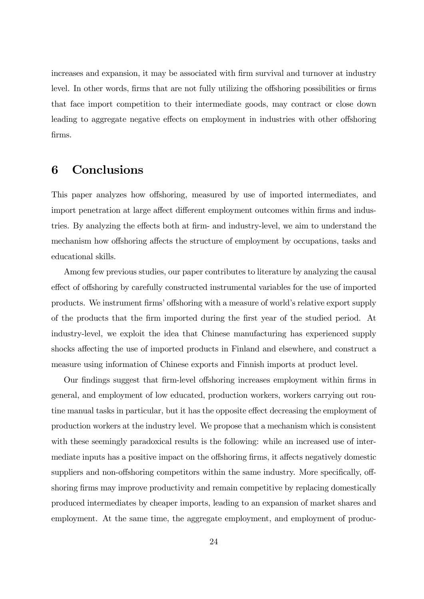increases and expansion, it may be associated with firm survival and turnover at industry level. In other words, firms that are not fully utilizing the offshoring possibilities or firms that face import competition to their intermediate goods, may contract or close down leading to aggregate negative effects on employment in industries with other offshoring Örms.

# 6 Conclusions

This paper analyzes how offshoring, measured by use of imported intermediates, and import penetration at large affect different employment outcomes within firms and industries. By analyzing the effects both at firm- and industry-level, we aim to understand the mechanism how offshoring affects the structure of employment by occupations, tasks and educational skills.

Among few previous studies, our paper contributes to literature by analyzing the causal effect of offshoring by carefully constructed instrumental variables for the use of imported products. We instrument firms' offshoring with a measure of world's relative export supply of the products that the Örm imported during the Örst year of the studied period. At industry-level, we exploit the idea that Chinese manufacturing has experienced supply shocks affecting the use of imported products in Finland and elsewhere, and construct a measure using information of Chinese exports and Finnish imports at product level.

Our findings suggest that firm-level offshoring increases employment within firms in general, and employment of low educated, production workers, workers carrying out routine manual tasks in particular, but it has the opposite effect decreasing the employment of production workers at the industry level. We propose that a mechanism which is consistent with these seemingly paradoxical results is the following: while an increased use of intermediate inputs has a positive impact on the offshoring firms, it affects negatively domestic suppliers and non-offshoring competitors within the same industry. More specifically, offshoring firms may improve productivity and remain competitive by replacing domestically produced intermediates by cheaper imports, leading to an expansion of market shares and employment. At the same time, the aggregate employment, and employment of produc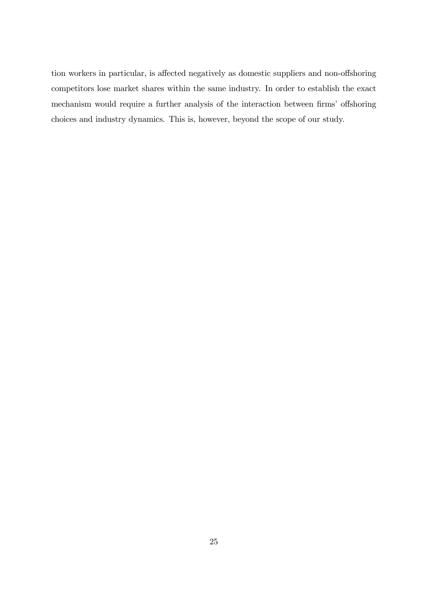tion workers in particular, is affected negatively as domestic suppliers and non-offshoring competitors lose market shares within the same industry. In order to establish the exact mechanism would require a further analysis of the interaction between firms' offshoring choices and industry dynamics. This is, however, beyond the scope of our study.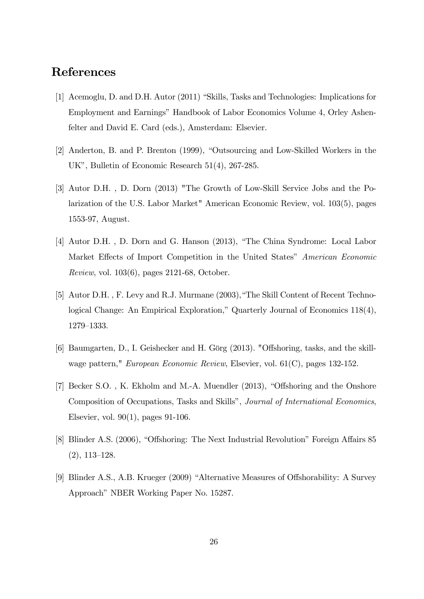# References

- [1] Acemoglu, D. and D.H. Autor (2011) "Skills, Tasks and Technologies: Implications for Employment and Earnings" Handbook of Labor Economics Volume 4, Orley Ashenfelter and David E. Card (eds.), Amsterdam: Elsevier.
- [2] Anderton, B. and P. Brenton (1999), "Outsourcing and Low-Skilled Workers in the UK", Bulletin of Economic Research 51(4), 267-285.
- [3] Autor D.H. , D. Dorn (2013) "The Growth of Low-Skill Service Jobs and the Polarization of the U.S. Labor Market" American Economic Review, vol. 103(5), pages 1553-97, August.
- [4] Autor D.H., D. Dorn and G. Hanson (2013), "The China Syndrome: Local Labor Market Effects of Import Competition in the United States" American Economic Review, vol. 103(6), pages 2121-68, October.
- [5] Autor D.H., F. Levy and R.J. Murmane (2003), "The Skill Content of Recent Technological Change: An Empirical Exploration," Quarterly Journal of Economics  $118(4)$ , 1279-1333.
- [6] Baumgarten, D., I. Geishecker and H. Görg  $(2013)$ . "Offshoring, tasks, and the skillwage pattern," European Economic Review, Elsevier, vol. 61(C), pages 132-152.
- [7] Becker S.O., K. Ekholm and M.-A. Muendler (2013), "Offshoring and the Onshore Composition of Occupations, Tasks and Skills", Journal of International Economics, Elsevier, vol. 90(1), pages 91-106.
- [8] Blinder A.S. (2006), "Offshoring: The Next Industrial Revolution" Foreign Affairs 85  $(2), 113-128.$
- [9] Blinder A.S., A.B. Krueger (2009) "Alternative Measures of Offshorability: A Survey Approach" NBER Working Paper No. 15287.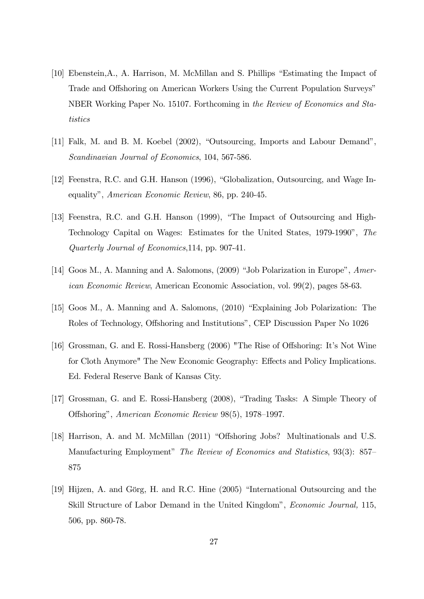- [10] Ebenstein, A., A. Harrison, M. McMillan and S. Phillips "Estimating the Impact of Trade and Offshoring on American Workers Using the Current Population Surveys" NBER Working Paper No. 15107. Forthcoming in the Review of Economics and Statistics
- [11] Falk, M. and B. M. Koebel (2002), "Outsourcing, Imports and Labour Demand", Scandinavian Journal of Economics, 104, 567-586.
- [12] Feenstra, R.C. and G.H. Hanson (1996), "Globalization, Outsourcing, and Wage Inequalityî, American Economic Review, 86, pp. 240-45.
- [13] Feenstra, R.C. and G.H. Hanson (1999), "The Impact of Outsourcing and High-Technology Capital on Wages: Estimates for the United States, 1979-1990î, The Quarterly Journal of Economics,114, pp. 907-41.
- [14] Goos M., A. Manning and A. Salomons, (2009) "Job Polarization in Europe", American Economic Review, American Economic Association, vol. 99(2), pages 58-63.
- [15] Goos M., A. Manning and A. Salomons, (2010) "Explaining Job Polarization: The Roles of Technology, Offshoring and Institutions", CEP Discussion Paper No 1026
- [16] Grossman, G. and E. Rossi-Hansberg (2006) "The Rise of Offshoring: It's Not Wine for Cloth Anymore" The New Economic Geography: Effects and Policy Implications. Ed. Federal Reserve Bank of Kansas City.
- [17] Grossman, G. and E. Rossi-Hansberg (2008), "Trading Tasks: A Simple Theory of Offshoring", American Economic Review 98(5), 1978–1997.
- [18] Harrison, A. and M. McMillan (2011) "Offshoring Jobs? Multinationals and U.S. Manufacturing Employment" The Review of Economics and Statistics, 93(3): 857 875
- [19] Hijzen, A. and Görg, H. and R.C. Hine  $(2005)$  "International Outsourcing and the Skill Structure of Labor Demand in the United Kingdom<sup>n</sup>, *Economic Journal*, 115, 506, pp. 860-78.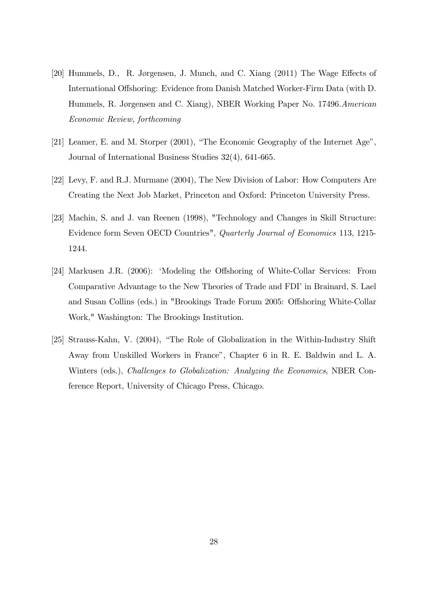- [20] Hummels, D., R. Jørgensen, J. Munch, and C. Xiang (2011) The Wage Effects of International Offshoring: Evidence from Danish Matched Worker-Firm Data (with D. Hummels, R. Jørgensen and C. Xiang), NBER Working Paper No. 17496.American Economic Review, forthcoming
- [21] Leamer, E. and M. Storper  $(2001)$ , "The Economic Geography of the Internet Age", Journal of International Business Studies 32(4), 641-665.
- [22] Levy, F. and R.J. Murmane (2004), The New Division of Labor: How Computers Are Creating the Next Job Market, Princeton and Oxford: Princeton University Press.
- [23] Machin, S. and J. van Reenen (1998), "Technology and Changes in Skill Structure: Evidence form Seven OECD Countries", Quarterly Journal of Economics 113, 1215- 1244.
- [24] Markusen J.R. (2006): 'Modeling the Offshoring of White-Collar Services: From Comparative Advantage to the New Theories of Trade and FDI' in Brainard, S. Lael and Susan Collins (eds.) in "Brookings Trade Forum 2005: Offshoring White-Collar Work," Washington: The Brookings Institution.
- [25] Strauss-Kahn, V. (2004), "The Role of Globalization in the Within-Industry Shift Away from Unskilled Workers in France", Chapter 6 in R. E. Baldwin and L. A. Winters (eds.), Challenges to Globalization: Analyzing the Economics, NBER Conference Report, University of Chicago Press, Chicago.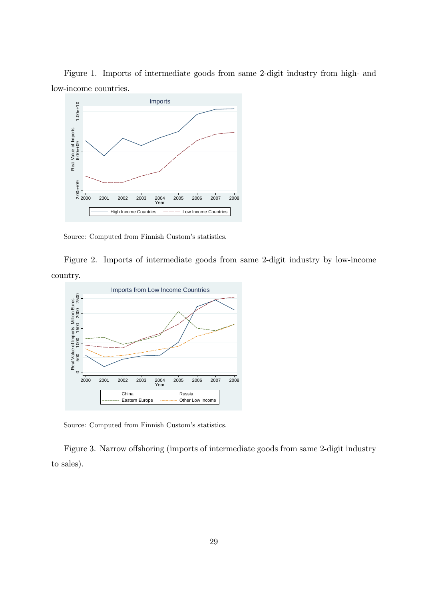Figure 1. Imports of intermediate goods from same 2-digit industry from high- and low-income countries.



Source: Computed from Finnish Custom's statistics.

Figure 2. Imports of intermediate goods from same 2-digit industry by low-income country.



Source: Computed from Finnish Custom's statistics.

Figure 3. Narrow offshoring (imports of intermediate goods from same 2-digit industry to sales).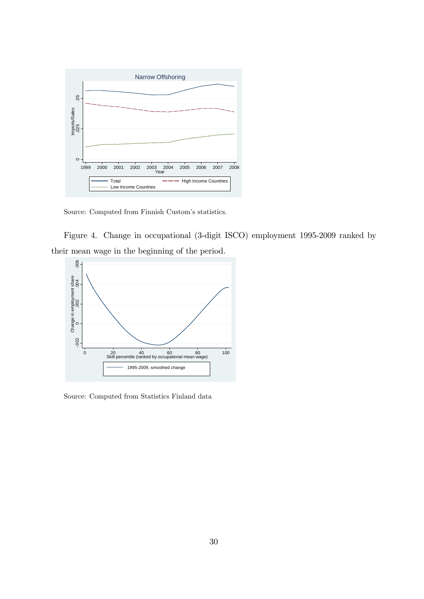

Source: Computed from Finnish Custom's statistics.

Figure 4. Change in occupational (3-digit ISCO) employment 1995-2009 ranked by their mean wage in the beginning of the period.



Source: Computed from Statistics Finland data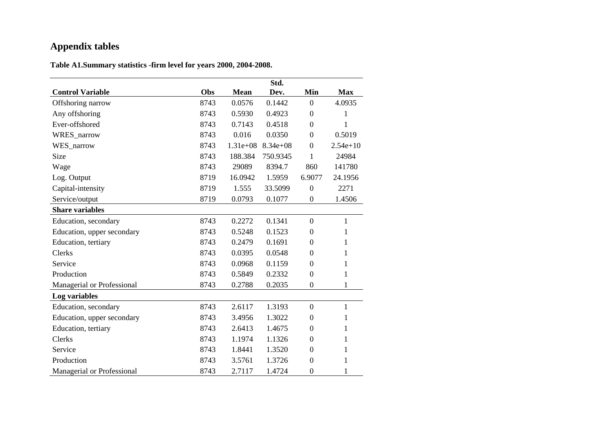# **Appendix tables**

**Table A1.Summary statistics -firm level for years 2000, 2004-2008.**

|                            |      |             | Std.         |                  |              |
|----------------------------|------|-------------|--------------|------------------|--------------|
| <b>Control Variable</b>    | Obs  | <b>Mean</b> | Dev.         | Min              | <b>Max</b>   |
| Offshoring narrow          | 8743 | 0.0576      | 0.1442       | $\boldsymbol{0}$ | 4.0935       |
| Any offshoring             | 8743 | 0.5930      | 0.4923       | $\overline{0}$   | 1            |
| Ever-offshored             | 8743 | 0.7143      | 0.4518       | $\mathbf{0}$     | 1            |
| WRES_narrow                | 8743 | 0.016       | 0.0350       | $\boldsymbol{0}$ | 0.5019       |
| WES_narrow                 | 8743 | $1.31e+08$  | $8.34e + 08$ | $\boldsymbol{0}$ | $2.54e+10$   |
| Size                       | 8743 | 188.384     | 750.9345     | 1                | 24984        |
| Wage                       | 8743 | 29089       | 8394.7       | 860              | 141780       |
| Log. Output                | 8719 | 16.0942     | 1.5959       | 6.9077           | 24.1956      |
| Capital-intensity          | 8719 | 1.555       | 33.5099      | $\boldsymbol{0}$ | 2271         |
| Service/output             | 8719 | 0.0793      | 0.1077       | $\boldsymbol{0}$ | 1.4506       |
| <b>Share variables</b>     |      |             |              |                  |              |
| Education, secondary       | 8743 | 0.2272      | 0.1341       | $\overline{0}$   | $\mathbf{1}$ |
| Education, upper secondary | 8743 | 0.5248      | 0.1523       | $\boldsymbol{0}$ | 1            |
| Education, tertiary        | 8743 | 0.2479      | 0.1691       | $\boldsymbol{0}$ | 1            |
| Clerks                     | 8743 | 0.0395      | 0.0548       | $\overline{0}$   | 1            |
| Service                    | 8743 | 0.0968      | 0.1159       | $\boldsymbol{0}$ | 1            |
| Production                 | 8743 | 0.5849      | 0.2332       | $\mathbf{0}$     | $\mathbf{1}$ |
| Managerial or Professional | 8743 | 0.2788      | 0.2035       | $\overline{0}$   | 1            |
| Log variables              |      |             |              |                  |              |
| Education, secondary       | 8743 | 2.6117      | 1.3193       | $\mathbf{0}$     | $\mathbf{1}$ |
| Education, upper secondary | 8743 | 3.4956      | 1.3022       | $\boldsymbol{0}$ | 1            |
| Education, tertiary        | 8743 | 2.6413      | 1.4675       | $\theta$         | 1            |
| Clerks                     | 8743 | 1.1974      | 1.1326       | $\overline{0}$   | 1            |
| Service                    | 8743 | 1.8441      | 1.3520       | $\overline{0}$   | 1            |
| Production                 | 8743 | 3.5761      | 1.3726       | $\boldsymbol{0}$ | 1            |
| Managerial or Professional | 8743 | 2.7117      | 1.4724       | $\boldsymbol{0}$ | 1            |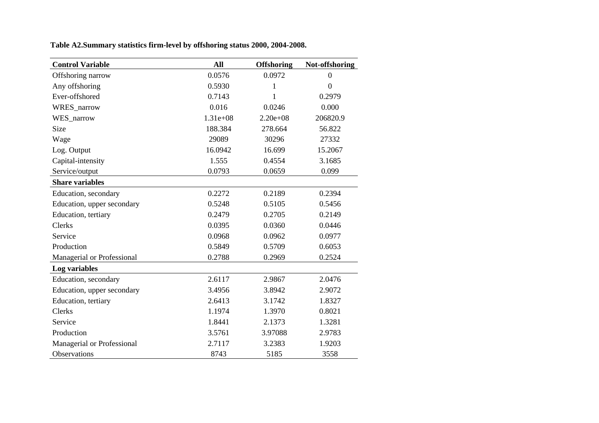|  |  |  | Table A2.Summary statistics firm-level by offshoring status 2000, 2004-2008. |  |
|--|--|--|------------------------------------------------------------------------------|--|
|  |  |  |                                                                              |  |

| <b>Control Variable</b>    | All        | <b>Offshoring</b> | Not-offshoring |
|----------------------------|------------|-------------------|----------------|
| Offshoring narrow          | 0.0576     | 0.0972            | $\overline{0}$ |
| Any offshoring             | 0.5930     | 1                 | $\overline{0}$ |
| Ever-offshored             | 0.7143     | 1                 | 0.2979         |
| WRES_narrow                | 0.016      | 0.0246            | 0.000          |
| WES_narrow                 | $1.31e+08$ | $2.20e + 0.8$     | 206820.9       |
| Size                       | 188.384    | 278.664           | 56.822         |
| Wage                       | 29089      | 30296             | 27332          |
| Log. Output                | 16.0942    | 16.699            | 15.2067        |
| Capital-intensity          | 1.555      | 0.4554            | 3.1685         |
| Service/output             | 0.0793     | 0.0659            | 0.099          |
| <b>Share variables</b>     |            |                   |                |
| Education, secondary       | 0.2272     | 0.2189            | 0.2394         |
| Education, upper secondary | 0.5248     | 0.5105            | 0.5456         |
| Education, tertiary        | 0.2479     | 0.2705            | 0.2149         |
| Clerks                     | 0.0395     | 0.0360            | 0.0446         |
| Service                    | 0.0968     | 0.0962            | 0.0977         |
| Production                 | 0.5849     | 0.5709            | 0.6053         |
| Managerial or Professional | 0.2788     | 0.2969            | 0.2524         |
| Log variables              |            |                   |                |
| Education, secondary       | 2.6117     | 2.9867            | 2.0476         |
| Education, upper secondary | 3.4956     | 3.8942            | 2.9072         |
| Education, tertiary        | 2.6413     | 3.1742            | 1.8327         |
| <b>Clerks</b>              | 1.1974     | 1.3970            | 0.8021         |
| Service                    | 1.8441     | 2.1373            | 1.3281         |
| Production                 | 3.5761     | 3.97088           | 2.9783         |
| Managerial or Professional | 2.7117     | 3.2383            | 1.9203         |
| Observations               | 8743       | 5185              | 3558           |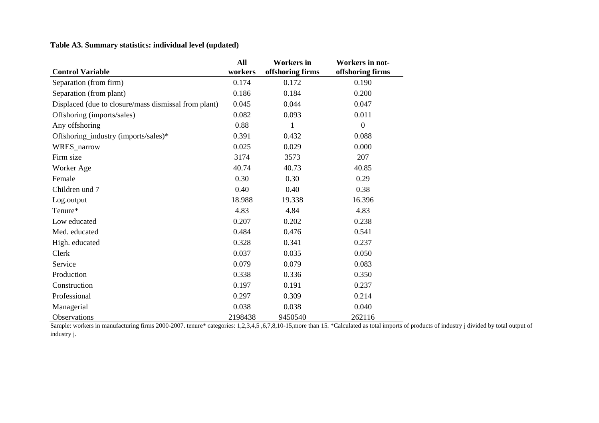### **Table A3. Summary statistics: individual level (updated)**

|                                                      | All     | <b>Workers</b> in | <b>Workers in not-</b> |
|------------------------------------------------------|---------|-------------------|------------------------|
| <b>Control Variable</b>                              | workers | offshoring firms  | offshoring firms       |
| Separation (from firm)                               | 0.174   | 0.172             | 0.190                  |
| Separation (from plant)                              | 0.186   | 0.184             | 0.200                  |
| Displaced (due to closure/mass dismissal from plant) | 0.045   | 0.044             | 0.047                  |
| Offshoring (imports/sales)                           | 0.082   | 0.093             | 0.011                  |
| Any offshoring                                       | 0.88    | $\mathbf{1}$      | $\overline{0}$         |
| Offshoring_industry (imports/sales)*                 | 0.391   | 0.432             | 0.088                  |
| WRES_narrow                                          | 0.025   | 0.029             | 0.000                  |
| Firm size                                            | 3174    | 3573              | 207                    |
| Worker Age                                           | 40.74   | 40.73             | 40.85                  |
| Female                                               | 0.30    | 0.30              | 0.29                   |
| Children und 7                                       | 0.40    | 0.40              | 0.38                   |
| Log.output                                           | 18.988  | 19.338            | 16.396                 |
| Tenure*                                              | 4.83    | 4.84              | 4.83                   |
| Low educated                                         | 0.207   | 0.202             | 0.238                  |
| Med. educated                                        | 0.484   | 0.476             | 0.541                  |
| High. educated                                       | 0.328   | 0.341             | 0.237                  |
| Clerk                                                | 0.037   | 0.035             | 0.050                  |
| Service                                              | 0.079   | 0.079             | 0.083                  |
| Production                                           | 0.338   | 0.336             | 0.350                  |
| Construction                                         | 0.197   | 0.191             | 0.237                  |
| Professional                                         | 0.297   | 0.309             | 0.214                  |
| Managerial                                           | 0.038   | 0.038             | 0.040                  |
| Observations                                         | 2198438 | 9450540           | 262116                 |

Sample: workers in manufacturing firms 2000-2007. tenure\* categories: 1,2,3,4,5 ,6,7,8,10-15,more than 15. \*Calculated as total imports of products of industry j divided by total output of industry j.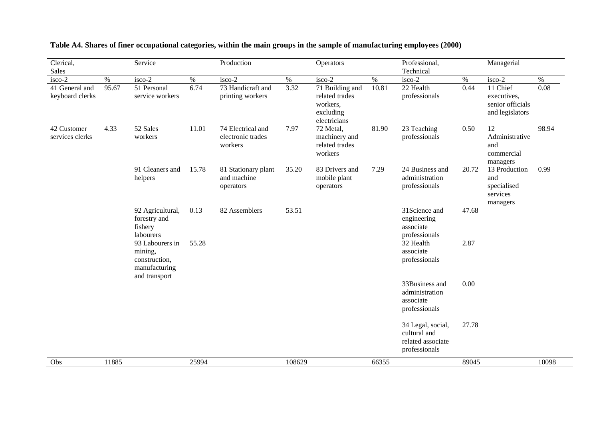| Clerical,<br><b>Sales</b>         |       | Service                                                                       |       | Production                                        |        | Operators                                                                  |       | Professional,<br>Technical                                              |       | Managerial                                                     |       |
|-----------------------------------|-------|-------------------------------------------------------------------------------|-------|---------------------------------------------------|--------|----------------------------------------------------------------------------|-------|-------------------------------------------------------------------------|-------|----------------------------------------------------------------|-------|
| isco-2                            | $\%$  | isco-2                                                                        | $\%$  | isco-2                                            | $\%$   | isco-2                                                                     | $\%$  | isco-2                                                                  | $\%$  | isco-2                                                         | $\%$  |
| 41 General and<br>keyboard clerks | 95.67 | 51 Personal<br>service workers                                                | 6.74  | 73 Handicraft and<br>printing workers             | 3.32   | 71 Building and<br>related trades<br>workers,<br>excluding<br>electricians | 10.81 | 22 Health<br>professionals                                              | 0.44  | 11 Chief<br>executives,<br>senior officials<br>and legislators | 0.08  |
| 42 Customer<br>services clerks    | 4.33  | 52 Sales<br>workers                                                           | 11.01 | 74 Electrical and<br>electronic trades<br>workers | 7.97   | 72 Metal,<br>machinery and<br>related trades<br>workers                    | 81.90 | 23 Teaching<br>professionals                                            | 0.50  | 12<br>Administrative<br>and<br>commercial<br>managers          | 98.94 |
|                                   |       | 91 Cleaners and<br>helpers                                                    | 15.78 | 81 Stationary plant<br>and machine<br>operators   | 35.20  | 83 Drivers and<br>mobile plant<br>operators                                | 7.29  | 24 Business and<br>administration<br>professionals                      | 20.72 | 13 Production<br>and<br>specialised<br>services<br>managers    | 0.99  |
|                                   |       | 92 Agricultural,<br>forestry and<br>fishery<br>labourers                      | 0.13  | 82 Assemblers                                     | 53.51  |                                                                            |       | 31Science and<br>engineering<br>associate<br>professionals              | 47.68 |                                                                |       |
|                                   |       | 93 Labourers in<br>mining,<br>construction,<br>manufacturing<br>and transport | 55.28 |                                                   |        |                                                                            |       | 32 Health<br>associate<br>professionals                                 | 2.87  |                                                                |       |
|                                   |       |                                                                               |       |                                                   |        |                                                                            |       | 33Business and<br>administration<br>associate<br>professionals          | 0.00  |                                                                |       |
|                                   |       |                                                                               |       |                                                   |        |                                                                            |       | 34 Legal, social,<br>cultural and<br>related associate<br>professionals | 27.78 |                                                                |       |
| Obs                               | 11885 |                                                                               | 25994 |                                                   | 108629 |                                                                            | 66355 |                                                                         | 89045 |                                                                | 10098 |

**Table A4. Shares of finer occupational categories, within the main groups in the sample of manufacturing employees (2000)**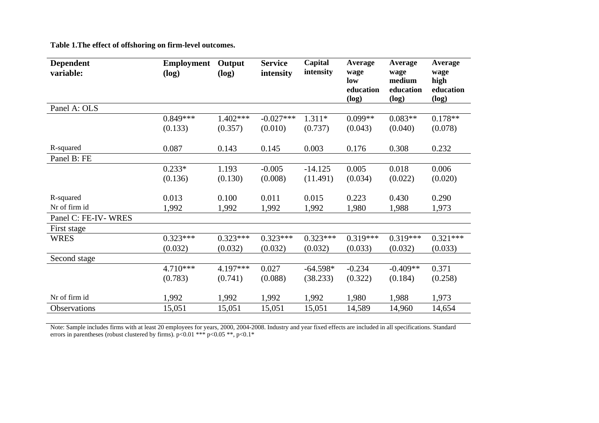**Table 1.The effect of offshoring on firm-level outcomes.** 

| <b>Dependent</b><br>variable: | <b>Employment</b><br>(log) | Output<br>(log)  | <b>Service</b><br>intensity | Capital<br>intensity  | Average<br>wage<br>low<br>education<br>(log) | Average<br>wage<br>medium<br>education<br>(log) | Average<br>wage<br>high<br>education<br>(log) |
|-------------------------------|----------------------------|------------------|-----------------------------|-----------------------|----------------------------------------------|-------------------------------------------------|-----------------------------------------------|
| Panel A: OLS                  |                            |                  |                             |                       |                                              |                                                 |                                               |
|                               | $0.849***$                 | $1.402***$       | $-0.027***$                 | $1.311*$              | $0.099**$                                    | $0.083**$                                       | $0.178**$                                     |
|                               | (0.133)                    | (0.357)          | (0.010)                     | (0.737)               | (0.043)                                      | (0.040)                                         | (0.078)                                       |
| R-squared                     | 0.087                      | 0.143            | 0.145                       | 0.003                 | 0.176                                        | 0.308                                           | 0.232                                         |
| Panel B: FE                   |                            |                  |                             |                       |                                              |                                                 |                                               |
|                               | $0.233*$<br>(0.136)        | 1.193<br>(0.130) | $-0.005$<br>(0.008)         | $-14.125$<br>(11.491) | 0.005<br>(0.034)                             | 0.018<br>(0.022)                                | 0.006<br>(0.020)                              |
| R-squared                     | 0.013                      | 0.100            | 0.011                       | 0.015                 | 0.223                                        | 0.430                                           | 0.290                                         |
| Nr of firm id                 | 1,992                      | 1,992            | 1,992                       | 1,992                 | 1,980                                        | 1,988                                           | 1,973                                         |
| Panel C: FE-IV-WRES           |                            |                  |                             |                       |                                              |                                                 |                                               |
| First stage                   |                            |                  |                             |                       |                                              |                                                 |                                               |
| <b>WRES</b>                   | $0.323***$                 | $0.323***$       | $0.323***$                  | $0.323***$            | $0.319***$                                   | $0.319***$                                      | $0.321***$                                    |
|                               | (0.032)                    | (0.032)          | (0.032)                     | (0.032)               | (0.033)                                      | (0.032)                                         | (0.033)                                       |
| Second stage                  |                            |                  |                             |                       |                                              |                                                 |                                               |
|                               | $4.710***$                 | 4.197***         | 0.027                       | $-64.598*$            | $-0.234$                                     | $-0.409**$                                      | 0.371                                         |
|                               | (0.783)                    | (0.741)          | (0.088)                     | (38.233)              | (0.322)                                      | (0.184)                                         | (0.258)                                       |
| Nr of firm id                 | 1,992                      | 1,992            | 1,992                       | 1,992                 | 1,980                                        | 1,988                                           | 1,973                                         |
| <b>Observations</b>           | 15,051                     | 15,051           | 15,051                      | 15,051                | 14,589                                       | 14,960                                          | 14,654                                        |

Note: Sample includes firms with at least 20 employees for years, 2000, 2004-2008. Industry and year fixed effects are included in all specifications. Standard errors in parentheses (robust clustered by firms). p<0.01 \*\*\* p<0.05 \*\*, p<0.1\*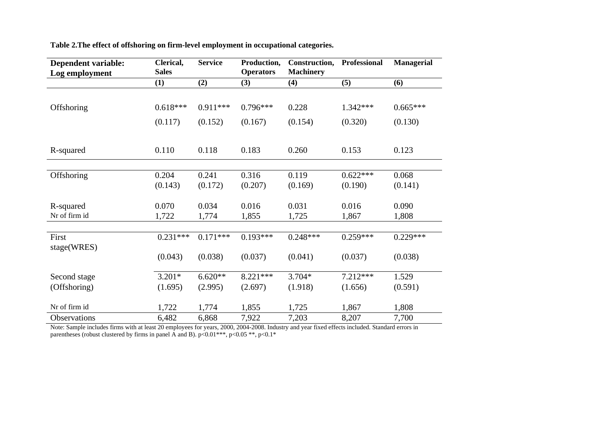| <b>Dependent variable:</b><br>Log employment | Clerical,<br><b>Sales</b> | <b>Service</b> | Production,<br><b>Operators</b> | Construction,<br><b>Machinery</b> | Professional | <b>Managerial</b> |
|----------------------------------------------|---------------------------|----------------|---------------------------------|-----------------------------------|--------------|-------------------|
|                                              | (1)                       | (2)            | (3)                             | (4)                               | (5)          | (6)               |
|                                              |                           |                |                                 |                                   |              |                   |
| Offshoring                                   | $0.618***$                | $0.911***$     | $0.796***$                      | 0.228                             | $1.342***$   | $0.665***$        |
|                                              | (0.117)                   | (0.152)        | (0.167)                         | (0.154)                           | (0.320)      | (0.130)           |
|                                              |                           |                |                                 |                                   |              |                   |
| R-squared                                    | 0.110                     | 0.118          | 0.183                           | 0.260                             | 0.153        | 0.123             |
|                                              |                           |                |                                 |                                   |              |                   |
| Offshoring                                   | 0.204                     | 0.241          | 0.316                           | 0.119                             | $0.622***$   | 0.068             |
|                                              | (0.143)                   | (0.172)        | (0.207)                         | (0.169)                           | (0.190)      | (0.141)           |
|                                              |                           |                |                                 |                                   |              |                   |
| R-squared                                    | 0.070                     | 0.034          | 0.016                           | 0.031                             | 0.016        | 0.090             |
| Nr of firm id                                | 1,722                     | 1,774          | 1,855                           | 1,725                             | 1,867        | 1,808             |
|                                              |                           |                |                                 |                                   |              |                   |
| First                                        | $0.231***$                | $0.171***$     | $0.193***$                      | $0.248***$                        | $0.259***$   | $0.229***$        |
| stage(WRES)                                  |                           |                |                                 |                                   |              |                   |
|                                              | (0.043)                   | (0.038)        | (0.037)                         | (0.041)                           | (0.037)      | (0.038)           |
| Second stage                                 | $3.201*$                  | $6.620**$      | $8.221***$                      | $3.704*$                          | $7.212***$   | 1.529             |
| (Offshoring)                                 | (1.695)                   | (2.995)        | (2.697)                         | (1.918)                           | (1.656)      | (0.591)           |
| Nr of firm id                                | 1,722                     | 1,774          | 1,855                           | 1,725                             | 1,867        | 1,808             |
| Observations                                 | 6,482                     | 6,868          | 7,922                           | 7,203                             | 8,207        | 7,700             |

**Table 2.The effect of offshoring on firm-level employment in occupational categories.** 

Note: Sample includes firms with at least 20 employees for years, 2000, 2004-2008. Industry and year fixed effects included. Standard errors in parentheses (robust clustered by firms in panel A and B).  $p<0.01***$ ,  $p<0.05**$ ,  $p<0.1*$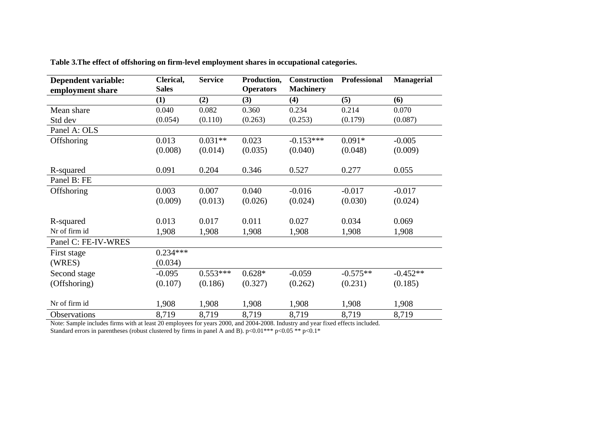| <b>Dependent variable:</b> | Clerical,    | <b>Service</b> | Production,      | <b>Construction</b> | <b>Professional</b> | <b>Managerial</b> |
|----------------------------|--------------|----------------|------------------|---------------------|---------------------|-------------------|
| employment share           | <b>Sales</b> |                | <b>Operators</b> | <b>Machinery</b>    |                     |                   |
|                            | (1)          | (2)            | (3)              | (4)                 | (5)                 | (6)               |
| Mean share                 | 0.040        | 0.082          | 0.360            | 0.234               | 0.214               | 0.070             |
| Std dev                    | (0.054)      | (0.110)        | (0.263)          | (0.253)             | (0.179)             | (0.087)           |
| Panel A: OLS               |              |                |                  |                     |                     |                   |
| Offshoring                 | 0.013        | $0.031**$      | 0.023            | $-0.153***$         | $0.091*$            | $-0.005$          |
|                            | (0.008)      | (0.014)        | (0.035)          | (0.040)             | (0.048)             | (0.009)           |
|                            |              |                |                  |                     |                     |                   |
| R-squared                  | 0.091        | 0.204          | 0.346            | 0.527               | 0.277               | 0.055             |
| Panel B: FE                |              |                |                  |                     |                     |                   |
| Offshoring                 | 0.003        | 0.007          | 0.040            | $-0.016$            | $-0.017$            | $-0.017$          |
|                            | (0.009)      | (0.013)        | (0.026)          | (0.024)             | (0.030)             | (0.024)           |
|                            |              |                |                  |                     |                     |                   |
| R-squared                  | 0.013        | 0.017          | 0.011            | 0.027               | 0.034               | 0.069             |
| Nr of firm id              | 1,908        | 1,908          | 1,908            | 1,908               | 1,908               | 1,908             |
| Panel C: FE-IV-WRES        |              |                |                  |                     |                     |                   |
| First stage                | $0.234***$   |                |                  |                     |                     |                   |
| (WRES)                     | (0.034)      |                |                  |                     |                     |                   |
| Second stage               | $-0.095$     | $0.553***$     | $0.628*$         | $-0.059$            | $-0.575**$          | $-0.452**$        |
| (Offshoring)               | (0.107)      | (0.186)        | (0.327)          | (0.262)             | (0.231)             | (0.185)           |
|                            |              |                |                  |                     |                     |                   |
| Nr of firm id              | 1,908        | 1,908          | 1,908            | 1,908               | 1,908               | 1,908             |
| Observations               | 8,719        | 8,719          | 8,719            | 8,719               | 8,719               | 8,719             |

**Table 3.The effect of offshoring on firm-level employment shares in occupational categories.** 

Note: Sample includes firms with at least 20 employees for years 2000, and 2004-2008. Industry and year fixed effects included. Standard errors in parentheses (robust clustered by firms in panel A and B). p<0.01\*\*\* p<0.05 \*\* p<0.1\*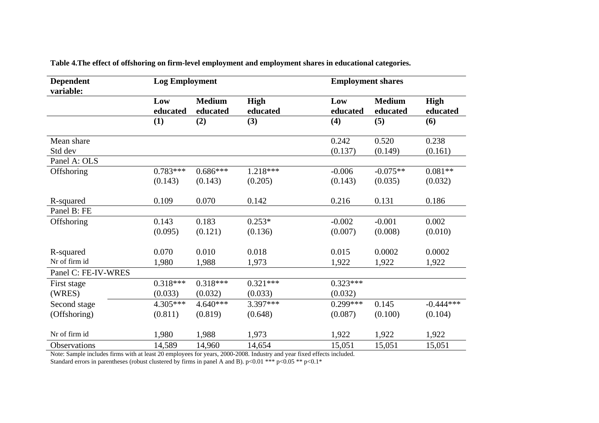| <b>Dependent</b><br>variable: | <b>Log Employment</b> |                           |                  | <b>Employment shares</b> |                           |                         |
|-------------------------------|-----------------------|---------------------------|------------------|--------------------------|---------------------------|-------------------------|
|                               | Low<br>educated       | <b>Medium</b><br>educated | High<br>educated | Low<br>educated          | <b>Medium</b><br>educated | <b>High</b><br>educated |
|                               | (1)                   | (2)                       | (3)              | (4)                      | (5)                       | (6)                     |
| Mean share                    |                       |                           |                  | 0.242                    | 0.520                     | 0.238                   |
| Std dev                       |                       |                           |                  | (0.137)                  | (0.149)                   | (0.161)                 |
| Panel A: OLS                  |                       |                           |                  |                          |                           |                         |
| Offshoring                    | $0.783***$            | $0.686***$                | $1.218***$       | $-0.006$                 | $-0.075**$                | $0.081**$               |
|                               | (0.143)               | (0.143)                   | (0.205)          | (0.143)                  | (0.035)                   | (0.032)                 |
| R-squared                     | 0.109                 | 0.070                     | 0.142            | 0.216                    | 0.131                     | 0.186                   |
| Panel B: FE                   |                       |                           |                  |                          |                           |                         |
| Offshoring                    | 0.143                 | 0.183                     | $0.253*$         | $-0.002$                 | $-0.001$                  | 0.002                   |
|                               | (0.095)               | (0.121)                   | (0.136)          | (0.007)                  | (0.008)                   | (0.010)                 |
| R-squared                     | 0.070                 | 0.010                     | 0.018            | 0.015                    | 0.0002                    | 0.0002                  |
| Nr of firm id                 | 1,980                 | 1,988                     | 1,973            | 1,922                    | 1,922                     | 1,922                   |
| Panel C: FE-IV-WRES           |                       |                           |                  |                          |                           |                         |
| First stage                   | $0.318***$            | $0.318***$                | $0.321***$       | $0.323***$               |                           |                         |
| (WRES)                        | (0.033)               | (0.032)                   | (0.033)          | (0.032)                  |                           |                         |
| Second stage                  | 4.305***              | $4.640***$                | $3.397***$       | $0.299***$               | 0.145                     | $-0.444***$             |
| (Offshoring)                  | (0.811)               | (0.819)                   | (0.648)          | (0.087)                  | (0.100)                   | (0.104)                 |
| Nr of firm id                 | 1,980                 | 1,988                     | 1,973            | 1,922                    | 1,922                     | 1,922                   |
| <b>Observations</b>           | 14,589                | 14,960                    | 14,654           | 15,051                   | 15,051                    | 15,051                  |

**Table 4.The effect of offshoring on firm-level employment and employment shares in educational categories.** 

Note: Sample includes firms with at least 20 employees for years, 2000-2008. Industry and year fixed effects included.

Standard errors in parentheses (robust clustered by firms in panel A and B). p<0.01 \*\*\* p<0.05 \*\* p<0.1\*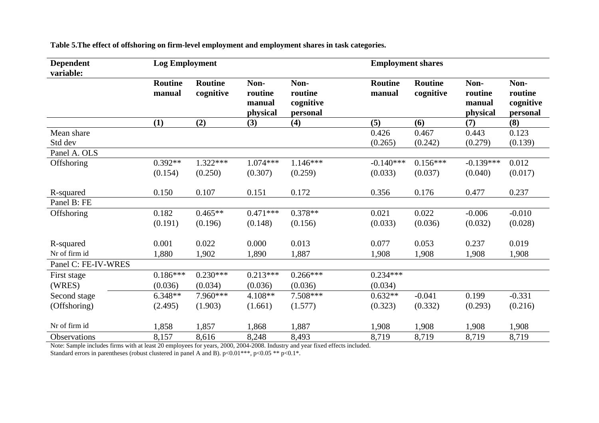| <b>Dependent</b><br>variable: | <b>Log Employment</b>    |                             |                                       |                                          | <b>Employment shares</b> |                             |                                       |                                          |
|-------------------------------|--------------------------|-----------------------------|---------------------------------------|------------------------------------------|--------------------------|-----------------------------|---------------------------------------|------------------------------------------|
|                               | <b>Routine</b><br>manual | <b>Routine</b><br>cognitive | Non-<br>routine<br>manual<br>physical | Non-<br>routine<br>cognitive<br>personal | <b>Routine</b><br>manual | <b>Routine</b><br>cognitive | Non-<br>routine<br>manual<br>physical | Non-<br>routine<br>cognitive<br>personal |
|                               | (1)                      | (2)                         | (3)                                   | (4)                                      | (5)                      | (6)                         | (7)                                   | (8)                                      |
| Mean share                    |                          |                             |                                       |                                          | 0.426                    | 0.467                       | 0.443                                 | 0.123                                    |
| Std dev                       |                          |                             |                                       |                                          | (0.265)                  | (0.242)                     | (0.279)                               | (0.139)                                  |
| Panel A. OLS                  |                          |                             |                                       |                                          |                          |                             |                                       |                                          |
| Offshoring                    | $0.392**$                | $1.322***$                  | $1.074***$                            | $1.146***$                               | $-0.140***$              | $0.156***$                  | $-0.139***$                           | 0.012                                    |
|                               | (0.154)                  | (0.250)                     | (0.307)                               | (0.259)                                  | (0.033)                  | (0.037)                     | (0.040)                               | (0.017)                                  |
| R-squared                     | 0.150                    | 0.107                       | 0.151                                 | 0.172                                    | 0.356                    | 0.176                       | 0.477                                 | 0.237                                    |
| Panel B: FE                   |                          |                             |                                       |                                          |                          |                             |                                       |                                          |
| Offshoring                    | 0.182                    | $0.465**$                   | $0.471***$                            | $0.378**$                                | 0.021                    | 0.022                       | $-0.006$                              | $-0.010$                                 |
|                               | (0.191)                  | (0.196)                     | (0.148)                               | (0.156)                                  | (0.033)                  | (0.036)                     | (0.032)                               | (0.028)                                  |
|                               |                          |                             |                                       |                                          |                          |                             |                                       |                                          |
| R-squared                     | 0.001                    | 0.022                       | 0.000                                 | 0.013                                    | 0.077                    | 0.053                       | 0.237                                 | 0.019                                    |
| Nr of firm id                 | 1,880                    | 1,902                       | 1,890                                 | 1,887                                    | 1,908                    | 1,908                       | 1,908                                 | 1,908                                    |
| Panel C: FE-IV-WRES           |                          |                             |                                       |                                          |                          |                             |                                       |                                          |
| First stage                   | $0.186***$               | $0.230***$                  | $0.213***$                            | $0.266***$                               | $0.234***$               |                             |                                       |                                          |
| (WRES)                        | (0.036)                  | (0.034)                     | (0.036)                               | (0.036)                                  | (0.034)                  |                             |                                       |                                          |
| Second stage                  | $6.348**$                | 7.960***                    | 4.108**                               | 7.508***                                 | $0.632**$                | $-0.041$                    | 0.199                                 | $-0.331$                                 |
| (Offshoring)                  | (2.495)                  | (1.903)                     | (1.661)                               | (1.577)                                  | (0.323)                  | (0.332)                     | (0.293)                               | (0.216)                                  |
| Nr of firm id                 | 1,858                    | 1,857                       | 1,868                                 | 1,887                                    | 1,908                    | 1,908                       | 1,908                                 | 1,908                                    |
| Observations                  |                          | 8,616                       | 8,248                                 | 8,493                                    | 8,719                    | 8,719                       | 8,719                                 | 8,719                                    |
|                               | 8,157                    |                             |                                       |                                          |                          |                             |                                       |                                          |

**Table 5.The effect of offshoring on firm-level employment and employment shares in task categories.** 

Note: Sample includes firms with at least 20 employees for years, 2000, 2004-2008. Industry and year fixed effects included.

Standard errors in parentheses (robust clustered in panel A and B).  $p<0.01***$ ,  $p<0.05**$   $p<0.1*$ .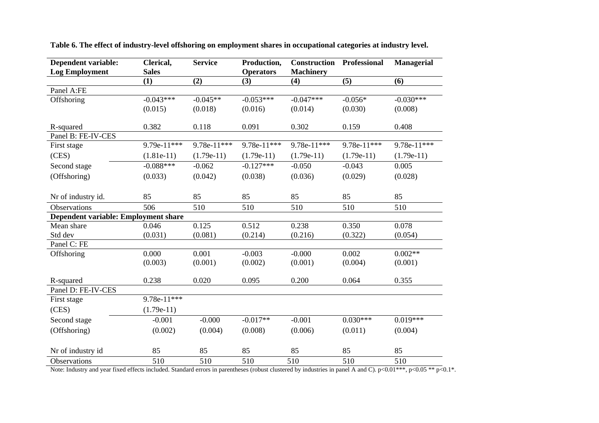| <b>Dependent variable:</b>           | Clerical,    | <b>Service</b> | Production,      | <b>Construction</b> | Professional | <b>Managerial</b> |
|--------------------------------------|--------------|----------------|------------------|---------------------|--------------|-------------------|
| <b>Log Employment</b>                | <b>Sales</b> |                | <b>Operators</b> | <b>Machinery</b>    |              |                   |
|                                      | (1)          | (2)            | (3)              | (4)                 | (5)          | (6)               |
| Panel A:FE                           |              |                |                  |                     |              |                   |
| Offshoring                           | $-0.043***$  | $-0.045**$     | $-0.053***$      | $-0.047***$         | $-0.056*$    | $-0.030***$       |
|                                      | (0.015)      | (0.018)        | (0.016)          | (0.014)             | (0.030)      | (0.008)           |
| R-squared                            | 0.382        | 0.118          | 0.091            | 0.302               | 0.159        | 0.408             |
| Panel B: FE-IV-CES                   |              |                |                  |                     |              |                   |
| First stage                          | 9.79e-11***  | 9.78e-11***    | 9.78e-11***      | 9.78e-11***         | 9.78e-11***  | 9.78e-11***       |
| (CES)                                | $(1.81e-11)$ | $(1.79e-11)$   | $(1.79e-11)$     | $(1.79e-11)$        | $(1.79e-11)$ | $(1.79e-11)$      |
| Second stage                         | $-0.088***$  | $-0.062$       | $-0.127***$      | $-0.050$            | $-0.043$     | 0.005             |
| (Offshoring)                         | (0.033)      | (0.042)        | (0.038)          | (0.036)             | (0.029)      | (0.028)           |
|                                      |              |                |                  |                     |              |                   |
| Nr of industry id.                   | 85           | 85             | 85               | 85                  | 85           | 85                |
| Observations                         | 506          | 510            | 510              | 510                 | 510          | 510               |
| Dependent variable: Employment share |              |                |                  |                     |              |                   |
| Mean share                           | 0.046        | 0.125          | 0.512            | 0.238               | 0.350        | 0.078             |
| Std dev                              | (0.031)      | (0.081)        | (0.214)          | (0.216)             | (0.322)      | (0.054)           |
| Panel C: FE                          |              |                |                  |                     |              |                   |
| Offshoring                           | 0.000        | 0.001          | $-0.003$         | $-0.000$            | 0.002        | $0.002**$         |
|                                      | (0.003)      | (0.001)        | (0.002)          | (0.001)             | (0.004)      | (0.001)           |
| R-squared                            | 0.238        | 0.020          | 0.095            | 0.200               | 0.064        | 0.355             |
| Panel D: FE-IV-CES                   |              |                |                  |                     |              |                   |
| First stage                          | 9.78e-11***  |                |                  |                     |              |                   |
| (CES)                                | $(1.79e-11)$ |                |                  |                     |              |                   |
| Second stage                         | $-0.001$     | $-0.000$       | $-0.017**$       | $-0.001$            | $0.030***$   | $0.019***$        |
| (Offshoring)                         | (0.002)      | (0.004)        | (0.008)          | (0.006)             | (0.011)      | (0.004)           |
|                                      |              |                |                  |                     |              |                   |
| Nr of industry id                    | 85           | 85             | 85               | 85                  | 85           | 85                |
| Observations                         | 510          | 510            | 510              | 510                 | 510          | 510               |

**Table 6. The effect of industry-level offshoring on employment shares in occupational categories at industry level.** 

Note: Industry and year fixed effects included. Standard errors in parentheses (robust clustered by industries in panel A and C).  $p<0.01***$ ,  $p<0.05**$   $p<0.1*$ .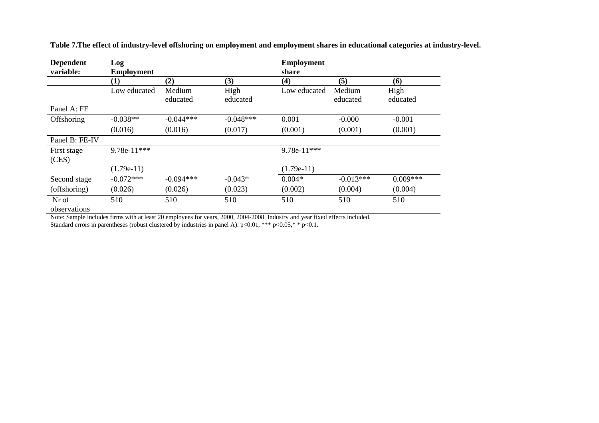| <b>Dependent</b><br>variable: | Log<br><b>Employment</b> |             |             | <b>Employment</b><br>share |             |            |
|-------------------------------|--------------------------|-------------|-------------|----------------------------|-------------|------------|
|                               | $\bf(1)$                 | (2)         | (3)         | (4)                        | (5)         | (6)        |
|                               | Low educated             | Medium      | High        | Low educated               | Medium      | High       |
|                               |                          | educated    | educated    |                            | educated    | educated   |
| Panel A: FE                   |                          |             |             |                            |             |            |
| Offshoring                    | $-0.038**$               | $-0.044***$ | $-0.048***$ | 0.001                      | $-0.000$    | $-0.001$   |
|                               | (0.016)                  | (0.016)     | (0.017)     | (0.001)                    | (0.001)     | (0.001)    |
| Panel B: FE-IV                |                          |             |             |                            |             |            |
| First stage<br>(CES)          | 9.78e-11***              |             |             | 9.78e-11***                |             |            |
|                               | $(1.79e-11)$             |             |             | $(1.79e-11)$               |             |            |
| Second stage                  | $-0.072***$              | $-0.094***$ | $-0.043*$   | $0.004*$                   | $-0.013***$ | $0.009***$ |
| (offshoring)                  | (0.026)                  | (0.026)     | (0.023)     | (0.002)                    | (0.004)     | (0.004)    |
| Nr of<br>observations         | 510                      | 510         | 510         | 510                        | 510         | 510        |

**Table 7.The effect of industry-level offshoring on employment and employment shares in educational categories at industry-level.** 

observations Note: Sample includes firms with at least 20 employees for years, 2000, 2004-2008. Industry and year fixed effects included. Standard errors in parentheses (robust clustered by industries in panel A). p<0.01, \*\*\* p<0.05,\* \* p<0.1.